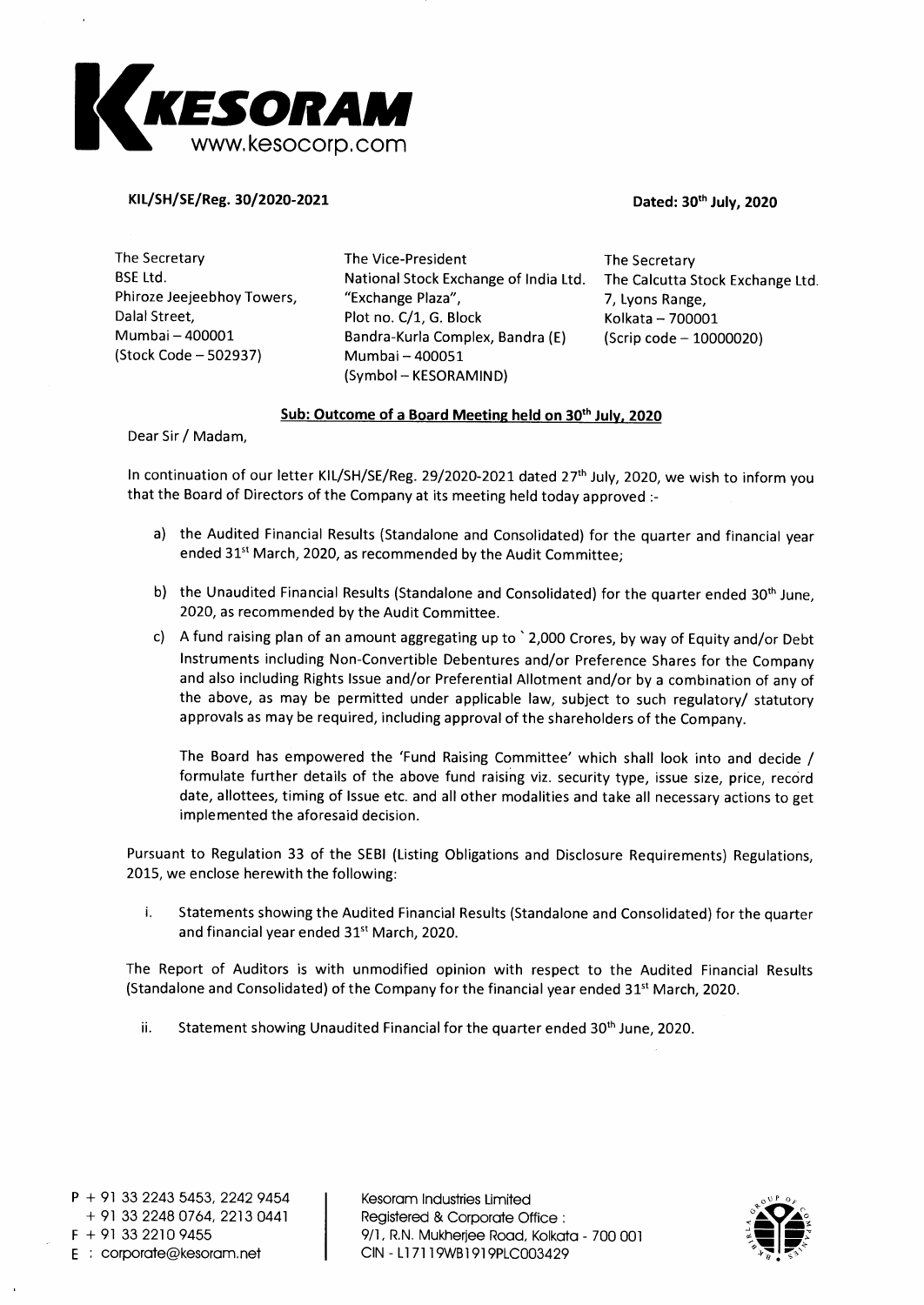

**KIL/SH/SE/Reg. 30/2020-2021 Dated: 30th July, 2020** 

The Secretary BSE Ltd. Phiroze Jeejeebhoy Towers, Dalai Street, Mumbai — 400001 (Stock Code — 502937) The Vice-President National Stock Exchange of India Ltd. "Exchange Plaza", Plot no. C/1, G. Block Bandra-Kurla Complex, Bandra (E) Mumbai — 400051 (Symbol — KESORAMIND) The Secretary The Calcutta Stock Exchange Ltd. 7, Lyons Range, Kolkata — 700001 (Scrip code — 10000020)

# **Sub: Outcome of a Board Meeting held on 30th July, 2020**

Dear Sir / Madam,

In continuation of our letter KIL/SH/SE/Reg. 29/2020-2021 dated 27<sup>th</sup> July, 2020, we wish to inform you that the Board of Directors of the Company at its meeting held today approved :-

- a) the Audited Financial Results (Standalone and Consolidated) for the quarter and financial year ended 31<sup>st</sup> March, 2020, as recommended by the Audit Committee;
- b) the Unaudited Financial Results (Standalone and Consolidated) for the quarter ended 30<sup>th</sup> June, 2020, as recommended by the Audit Committee.
- c) A fund raising plan of an amount aggregating up to `2,000 Crores, by way of Equity and/or Debt Instruments including Non-Convertible Debentures and/or Preference Shares for the Company and also including Rights Issue and/or Preferential Allotment and/or by a combination of any of the above, as may be permitted under applicable law, subject to such regulatory/ statutory approvals as may be required, including approval of the shareholders of the Company.

The Board has empowered the 'Fund Raising Committee' which shall look into and decide / formulate further details of the above fund raising viz. security type, issue size, price, record date, allottees, timing of Issue etc. and all other modalities and take all necessary actions to get implemented the aforesaid decision.

Pursuant to Regulation 33 of the SEBI (Listing Obligations and Disclosure Requirements) Regulations, 2015, we enclose herewith the following:

i. Statements showing the Audited Financial Results (Standalone and Consolidated) for the quarter and financial year ended 31<sup>st</sup> March, 2020.

The Report of Auditors is with unmodified opinion with respect to the Audited Financial Results (Standalone and Consolidated) of the Company for the financial year ended  $31^{st}$  March, 2020.

ii. Statement showing Unaudited Financial for the quarter ended 30<sup>th</sup> June, 2020.

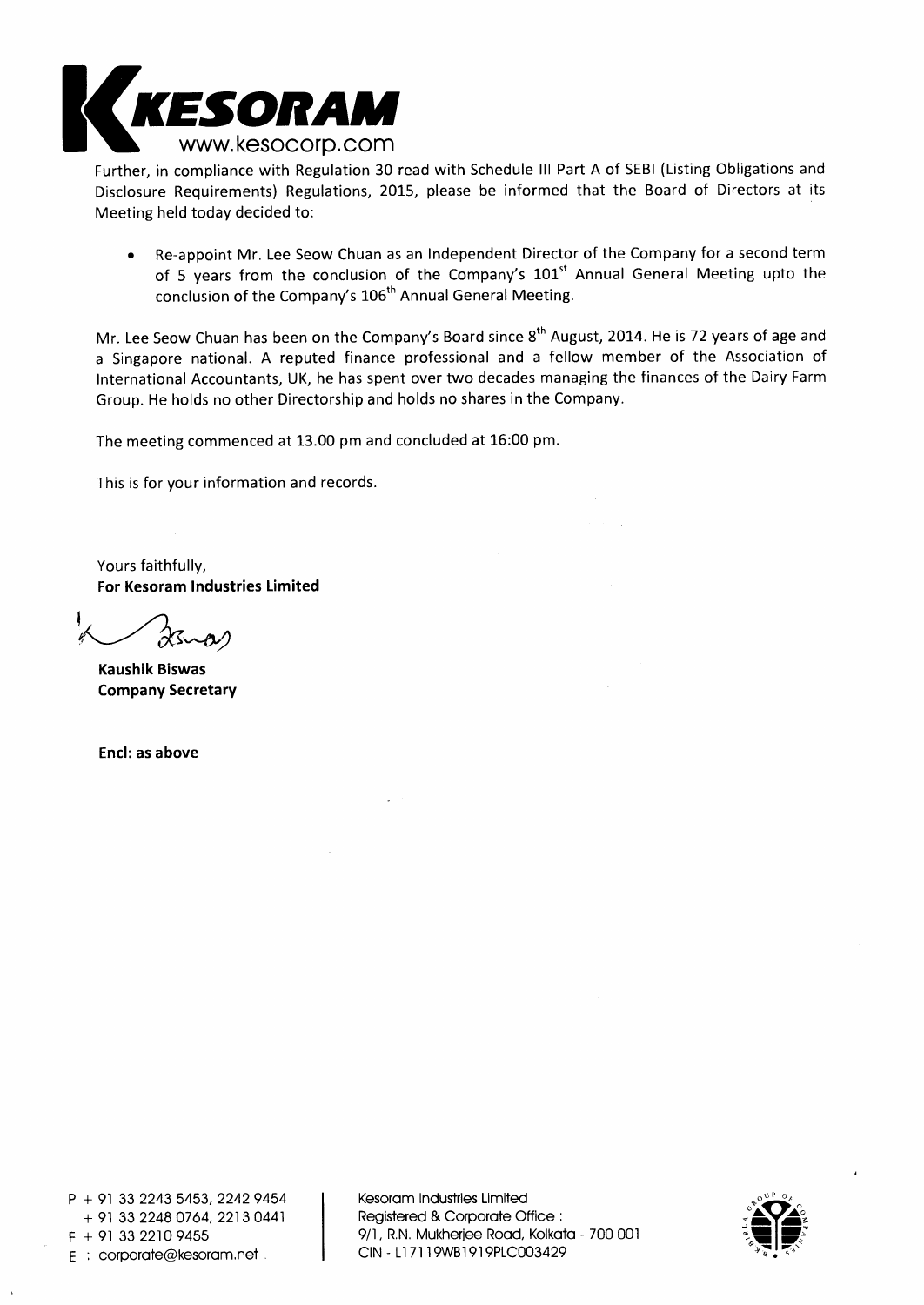

Further, in compliance with Regulation 30 read with Schedule III Part A of SEBI (Listing Obligations and Disclosure Requirements) Regulations, 2015, please be informed that the Board of Directors at its Meeting held today decided to:

• Re-appoint Mr. Lee Seow Chuan as an Independent Director of the Company for a second term of 5 years from the conclusion of the Company's 101<sup>st</sup> Annual General Meeting upto the conclusion of the Company's 106<sup>th</sup> Annual General Meeting.

Mr. Lee Seow Chuan has been on the Company's Board since 8<sup>th</sup> August, 2014. He is 72 years of age and a Singapore national. A reputed finance professional and a fellow member of the Association of International Accountants, UK, he has spent over two decades managing the finances of the Dairy Farm Group. He holds no other Directorship and holds no shares in the Company.

The meeting commenced at 13.00 pm and concluded at 16:00 pm.

This is for your information and records.

Yours faithfully, **For Kesoram Industries Limited** 

**Kaushik Biswas Company Secretary** 

**Encl: as above** 

P + 91 33 2243 5453, 2242 9454 + 91 33 2248 0764, 2213 0441 E : corporate@kesoram.net

Kesoram Industries Limited Registered & Corporate Office :  $F + 913322109455$ <br>  $F : \text{convorte@kesorarm.net}$  9/1, R.N. Mukherjee Road, Kolkata - 700 001

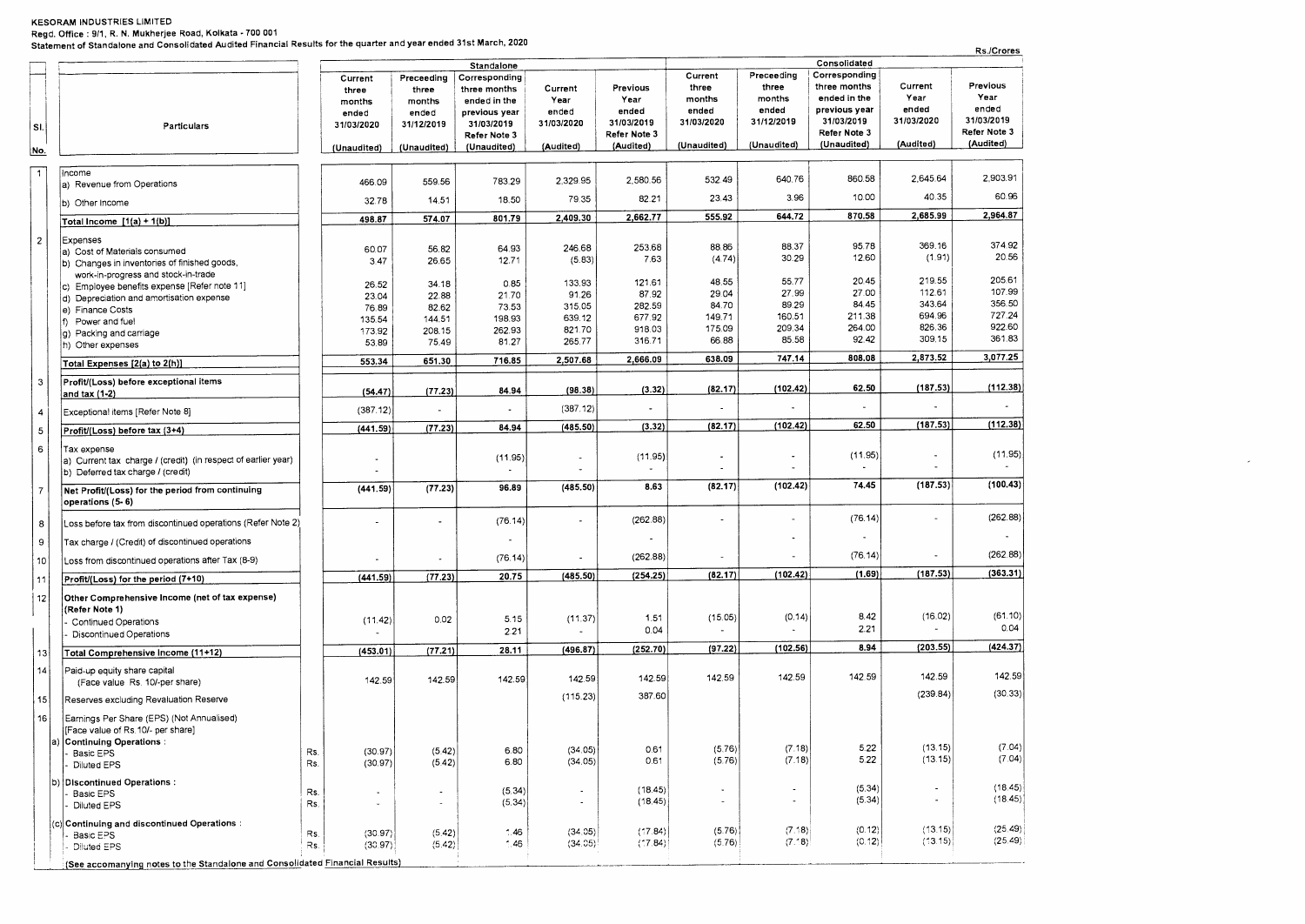**Regd. Office : 9/1, R. N. Mukherjee Road, Kolkata - 700 001** 

**Statement of Standalone and Consolidated Audited Financial Results for the quarter and year ended 31st March, 2020** 

| Consolidated<br>Standalone<br>Preceeding<br>Corresponding<br>Current<br>Corresponding<br>Preceeding<br>Current<br>Previous<br>three months<br>Current<br>three<br>Previous<br>three<br>three months<br>Current<br>three<br>three<br>Year<br>Year<br>months<br>ended in the<br>months<br>Year<br>Year<br>ended in the<br>months<br>months<br>ended<br>ended<br>previous year<br>ended<br>ended<br>ended<br>ended<br>previous year<br>ended<br>ended<br>31/03/2019<br>31/03/2020<br>31/03/2019<br>31/03/2020<br>31/12/2019<br>31/03/2019<br>31/03/2020<br>31/12/2019<br>31/03/2019<br>31/03/2020<br>Particulars<br>SI.<br>Refer Note 3<br>Refer Note 3<br>Refer Note 3<br>Refer Note 3<br>(Audited)<br>(Unaudited)<br>(Audited)<br>(Unaudited)<br>(Audited)<br>(Unaudited)<br>(Unaudited)<br>(Audited)<br>(Unaudited)<br>(Unaudited)<br>No.<br>$\overline{1}$<br>Income<br>2,903.91<br>860.58<br>2,645.64<br>640.76<br>532.49<br>2,329.95<br>2,580.56<br>783.29<br>559.56<br>466.09<br>a) Revenue from Operations<br>60.96<br>10.00<br>40.35<br>3.96<br>23.43<br>79.35<br>82.21<br>18.50<br>14.51<br>32.78<br>b) Other Income<br>2,964.87<br>870.58<br>2,685.99<br>644.72<br>2,662.77<br>555.92<br>2,409.30<br>801.79<br>498.87<br>574.07<br>Total Income $[1(a) + 1(b)]$<br>$\overline{c}$<br>Expenses<br>374.92<br>369.16<br>95.78<br>88.37<br>88.86<br>246.68<br>253.68<br>64.93<br>60.07<br>56.82<br>a) Cost of Materials consumed<br>20.56<br>(1.91)<br>30.29<br>12.60<br>7.63<br>(4.74)<br>(5.83)<br>26.65<br>12.71<br>3.47<br>b) Changes in inventories of finished goods,<br>work-in-progress and stock-in-trade<br>205.61<br>20.45<br>219.55<br>55.77<br>48.55<br>133.93<br>121.61<br>0.85<br>34.18<br>26.52<br>c) Employee benefits expense [Refer note 11]<br>107.99<br>27.99<br>27.00<br>112.61<br>87.92<br>29.04<br>91.26<br>21.70<br>22.88<br>23.04<br>d) Depreciation and amortisation expense<br>356.50<br>84.45<br>343.64<br>89.29<br>84.70<br>315.05<br>282.59<br>73.53<br>76.89<br>82.62<br>e) Finance Costs<br>727.24<br>694.96<br>160.51<br>211.38<br>149.71<br>639.12<br>677.92<br>198.93<br>144.51<br>135.54<br>Power and fuel<br>922.60<br>826.36<br>209.34<br>264.00<br>918.03<br>175.09<br>821.70<br>262.93<br>208.15<br>173.92<br>q) Packing and carriage<br>361.83<br>85.58<br>92.42<br>309.15<br>316.71<br>66.88<br>265.77<br>81.27<br>75.49<br>53.89<br>h) Other expenses<br>3,077.25<br>2,873.52<br>747.14<br>808.08<br>638.09<br>2,507.68<br>2,666.09<br>716.85<br>651.30<br>553.34<br>Total Expenses [2(a) to 2(h)]<br>$\mathbf{3}$<br>Profit/(Loss) before exceptional items<br>(112.38)<br>62.50<br>(187.53)<br>(102.42)<br>(82.17)<br>(98.38)<br>(3.32)<br>84.94<br>(77.23)<br>(54.47)<br>and tax (1-2)<br>(387.12)<br>(387.12)<br>Exceptional items [Refer Note 8]<br>4<br>(112.38)<br>(102.42)<br>62.50<br>(187.53)<br>(3.32)<br>(82.17)<br>(485.50)<br>(77.23)<br>84.94<br>(441.59)<br>5<br>Profit/(Loss) before tax (3+4)<br>6<br>Tax expense<br>(11.95)<br>(11.95)<br>(11.95)<br>٠<br>(11.95)<br>a) Current tax charge / (credit) (in respect of earlier year)<br>b) Deferred tax charge / (credit)<br>(187.53)<br>(102.42)<br>74.45<br>8.63<br>(82.17)<br>(485.50)<br>(77.23)<br>96.89<br>(441.59)<br>Net Profit/(Loss) for the period from continuing<br>$\overline{7}$<br>operations (5- 6)<br>(262.88)<br>(76.14)<br>$\overline{\phantom{a}}$<br>(262.88)<br>(76.14)<br>Loss before tax from discontinued operations (Refer Note 2)<br>8<br>9<br>Tax charge / (Credit) of discontinued operations<br>(262.88)<br>(76.14)<br>$\overline{\phantom{a}}$<br>(262.88)<br>(76.14)<br>÷,<br>10<br>Loss from discontinued operations after Tax (8-9)<br>(363.31)<br>(187.53)<br>(102.42)<br>(1.69)<br>(82.17)<br>(485.50)<br>(254.25)<br>(77.23)<br>20.75<br>(441.59)<br>Profit/(Loss) for the period (7+10)<br>11<br>12<br>Other Comprehensive Income (net of tax expense)<br>(Refer Note 1)<br>(61.10)<br>(16.02)<br>8.42<br>(0.14)<br>(15.05)<br>5.15<br>(11.37)<br>1.51<br>0.02<br>(11.42)<br><b>Continued Operations</b><br>0.04<br>2.21<br>0.04<br>2.21<br>Discontinued Operations<br>(424.37)<br>8.94<br>(203.55)<br>(102.56)<br>(97.22)<br>(252.70)<br>(496.87)<br>28.11<br>(453.01)<br>(77.21)<br>13<br>Total Comprehensive Income (11+12)<br> 4 <br>Paid-up equity share capital<br>142.59<br>142.59<br>142.59<br>142.59<br>142.59<br>142.59<br>142.59<br>142.59<br>142.59<br>(Face value Rs. 10/-per share)<br>(30.33)<br>(239.84)<br>387.60<br>(115.23)<br>15<br>Reserves excluding Revaluation Reserve<br>16<br>Earnings Per Share (EPS) (Not Annualised)<br>[Face value of Rs.10/- per share]<br>a)  Continuing Operations:<br>(13.15)<br>(7.04)<br>5.22<br>(5.76)<br>(7.18)<br>(34.05)<br>0.61<br>6.80<br>(30.97)<br>(5.42)<br>Rs.<br>Basic EPS<br>(7.04)<br>(13.15)<br>5.22<br>(5.76)<br>(7.18)<br>(34.05)<br>0.61<br>(5.42)<br>6.80<br>(30.97)<br>Rs.<br>Diluted EPS<br>b) Discontinued Operations :<br>(18.45)<br>(5.34)<br>(18.45)<br>$\tilde{\phantom{a}}$<br>(5.34)<br>$\blacksquare$<br>Rs.<br>$\bullet$<br>$\blacksquare$<br>$\overline{\phantom{m}}$<br>Basic EPS<br>(18.45)<br>(5.34)<br>(18.45)<br>$\overline{\phantom{a}}$<br>(5.34)<br>$\overline{\phantom{a}}$<br>$\blacksquare$<br>Rs.<br>$\tilde{\phantom{a}}$<br>J.<br>Diluted EPS<br>٠<br>(c) Continuing and discontinued Operations :<br>(25.49)<br>(13.15)<br>(7.18)<br>(0.12)<br>(5.76)<br>(17.84)<br>(34.05)<br>$^{\circ}$ .46<br>(30.97)<br>(5.42)<br>Rs.<br>Basic EPS<br>(25.49)<br>(7.18)<br>(0.12)<br>(13.15)<br>(5.76)<br>$(*7.84)$<br>(34.05)<br>(5.42)<br>$^{\circ}$ .46<br>Rs.<br>(30.97)<br><b>Diluted EPS</b><br>(See accomanying notes to the Standalone and Consolidated Financial Results) |  | Statement of Standalone and Consolidated Audited Financial Results for the quarter and year ended STSt March, 2020 |  |  |  |  |  | Rs./Crores |
|---------------------------------------------------------------------------------------------------------------------------------------------------------------------------------------------------------------------------------------------------------------------------------------------------------------------------------------------------------------------------------------------------------------------------------------------------------------------------------------------------------------------------------------------------------------------------------------------------------------------------------------------------------------------------------------------------------------------------------------------------------------------------------------------------------------------------------------------------------------------------------------------------------------------------------------------------------------------------------------------------------------------------------------------------------------------------------------------------------------------------------------------------------------------------------------------------------------------------------------------------------------------------------------------------------------------------------------------------------------------------------------------------------------------------------------------------------------------------------------------------------------------------------------------------------------------------------------------------------------------------------------------------------------------------------------------------------------------------------------------------------------------------------------------------------------------------------------------------------------------------------------------------------------------------------------------------------------------------------------------------------------------------------------------------------------------------------------------------------------------------------------------------------------------------------------------------------------------------------------------------------------------------------------------------------------------------------------------------------------------------------------------------------------------------------------------------------------------------------------------------------------------------------------------------------------------------------------------------------------------------------------------------------------------------------------------------------------------------------------------------------------------------------------------------------------------------------------------------------------------------------------------------------------------------------------------------------------------------------------------------------------------------------------------------------------------------------------------------------------------------------------------------------------------------------------------------------------------------------------------------------------------------------------------------------------------------------------------------------------------------------------------------------------------------------------------------------------------------------------------------------------------------------------------------------------------------------------------------------------------------------------------------------------------------------------------------------------------------------------------------------------------------------------------------------------------------------------------------------------------------------------------------------------------------------------------------------------------------------------------------------------------------------------------------------------------------------------------------------------------------------------------------------------------------------------------------------------------------------------------------------------------------------------------------------------------------------------------------------------------------------------------------------------------------------------------------------------------------------------------------------------------------------------------------------------------------------------------------------------------------------------------------------------------------------------------------------------------------------------------------------------------------------------------------------------------------------------------------------------------------------------------------------------------------------------------------------------------------------------------------------------------------------------------------------------------------------------------------------------------------------------------------------------------------------------------------------------------------------------------------------------------------------------------------------------------------------------------------------------------------------------------------------------------------------------------------------------------------------------------------------------------------------------------------------------------------------------------------------------------------------------------------------------------------------------------------------------------------------|--|--------------------------------------------------------------------------------------------------------------------|--|--|--|--|--|------------|
|                                                                                                                                                                                                                                                                                                                                                                                                                                                                                                                                                                                                                                                                                                                                                                                                                                                                                                                                                                                                                                                                                                                                                                                                                                                                                                                                                                                                                                                                                                                                                                                                                                                                                                                                                                                                                                                                                                                                                                                                                                                                                                                                                                                                                                                                                                                                                                                                                                                                                                                                                                                                                                                                                                                                                                                                                                                                                                                                                                                                                                                                                                                                                                                                                                                                                                                                                                                                                                                                                                                                                                                                                                                                                                                                                                                                                                                                                                                                                                                                                                                                                                                                                                                                                                                                                                                                                                                                                                                                                                                                                                                                                                                                                                                                                                                                                                                                                                                                                                                                                                                                                                                                                                                                                                                                                                                                                                                                                                                                                                                                                                                                                                                                                                                                 |  |                                                                                                                    |  |  |  |  |  |            |
|                                                                                                                                                                                                                                                                                                                                                                                                                                                                                                                                                                                                                                                                                                                                                                                                                                                                                                                                                                                                                                                                                                                                                                                                                                                                                                                                                                                                                                                                                                                                                                                                                                                                                                                                                                                                                                                                                                                                                                                                                                                                                                                                                                                                                                                                                                                                                                                                                                                                                                                                                                                                                                                                                                                                                                                                                                                                                                                                                                                                                                                                                                                                                                                                                                                                                                                                                                                                                                                                                                                                                                                                                                                                                                                                                                                                                                                                                                                                                                                                                                                                                                                                                                                                                                                                                                                                                                                                                                                                                                                                                                                                                                                                                                                                                                                                                                                                                                                                                                                                                                                                                                                                                                                                                                                                                                                                                                                                                                                                                                                                                                                                                                                                                                                                 |  |                                                                                                                    |  |  |  |  |  |            |
|                                                                                                                                                                                                                                                                                                                                                                                                                                                                                                                                                                                                                                                                                                                                                                                                                                                                                                                                                                                                                                                                                                                                                                                                                                                                                                                                                                                                                                                                                                                                                                                                                                                                                                                                                                                                                                                                                                                                                                                                                                                                                                                                                                                                                                                                                                                                                                                                                                                                                                                                                                                                                                                                                                                                                                                                                                                                                                                                                                                                                                                                                                                                                                                                                                                                                                                                                                                                                                                                                                                                                                                                                                                                                                                                                                                                                                                                                                                                                                                                                                                                                                                                                                                                                                                                                                                                                                                                                                                                                                                                                                                                                                                                                                                                                                                                                                                                                                                                                                                                                                                                                                                                                                                                                                                                                                                                                                                                                                                                                                                                                                                                                                                                                                                                 |  |                                                                                                                    |  |  |  |  |  |            |
|                                                                                                                                                                                                                                                                                                                                                                                                                                                                                                                                                                                                                                                                                                                                                                                                                                                                                                                                                                                                                                                                                                                                                                                                                                                                                                                                                                                                                                                                                                                                                                                                                                                                                                                                                                                                                                                                                                                                                                                                                                                                                                                                                                                                                                                                                                                                                                                                                                                                                                                                                                                                                                                                                                                                                                                                                                                                                                                                                                                                                                                                                                                                                                                                                                                                                                                                                                                                                                                                                                                                                                                                                                                                                                                                                                                                                                                                                                                                                                                                                                                                                                                                                                                                                                                                                                                                                                                                                                                                                                                                                                                                                                                                                                                                                                                                                                                                                                                                                                                                                                                                                                                                                                                                                                                                                                                                                                                                                                                                                                                                                                                                                                                                                                                                 |  |                                                                                                                    |  |  |  |  |  |            |
|                                                                                                                                                                                                                                                                                                                                                                                                                                                                                                                                                                                                                                                                                                                                                                                                                                                                                                                                                                                                                                                                                                                                                                                                                                                                                                                                                                                                                                                                                                                                                                                                                                                                                                                                                                                                                                                                                                                                                                                                                                                                                                                                                                                                                                                                                                                                                                                                                                                                                                                                                                                                                                                                                                                                                                                                                                                                                                                                                                                                                                                                                                                                                                                                                                                                                                                                                                                                                                                                                                                                                                                                                                                                                                                                                                                                                                                                                                                                                                                                                                                                                                                                                                                                                                                                                                                                                                                                                                                                                                                                                                                                                                                                                                                                                                                                                                                                                                                                                                                                                                                                                                                                                                                                                                                                                                                                                                                                                                                                                                                                                                                                                                                                                                                                 |  |                                                                                                                    |  |  |  |  |  |            |
|                                                                                                                                                                                                                                                                                                                                                                                                                                                                                                                                                                                                                                                                                                                                                                                                                                                                                                                                                                                                                                                                                                                                                                                                                                                                                                                                                                                                                                                                                                                                                                                                                                                                                                                                                                                                                                                                                                                                                                                                                                                                                                                                                                                                                                                                                                                                                                                                                                                                                                                                                                                                                                                                                                                                                                                                                                                                                                                                                                                                                                                                                                                                                                                                                                                                                                                                                                                                                                                                                                                                                                                                                                                                                                                                                                                                                                                                                                                                                                                                                                                                                                                                                                                                                                                                                                                                                                                                                                                                                                                                                                                                                                                                                                                                                                                                                                                                                                                                                                                                                                                                                                                                                                                                                                                                                                                                                                                                                                                                                                                                                                                                                                                                                                                                 |  |                                                                                                                    |  |  |  |  |  |            |
|                                                                                                                                                                                                                                                                                                                                                                                                                                                                                                                                                                                                                                                                                                                                                                                                                                                                                                                                                                                                                                                                                                                                                                                                                                                                                                                                                                                                                                                                                                                                                                                                                                                                                                                                                                                                                                                                                                                                                                                                                                                                                                                                                                                                                                                                                                                                                                                                                                                                                                                                                                                                                                                                                                                                                                                                                                                                                                                                                                                                                                                                                                                                                                                                                                                                                                                                                                                                                                                                                                                                                                                                                                                                                                                                                                                                                                                                                                                                                                                                                                                                                                                                                                                                                                                                                                                                                                                                                                                                                                                                                                                                                                                                                                                                                                                                                                                                                                                                                                                                                                                                                                                                                                                                                                                                                                                                                                                                                                                                                                                                                                                                                                                                                                                                 |  |                                                                                                                    |  |  |  |  |  |            |
|                                                                                                                                                                                                                                                                                                                                                                                                                                                                                                                                                                                                                                                                                                                                                                                                                                                                                                                                                                                                                                                                                                                                                                                                                                                                                                                                                                                                                                                                                                                                                                                                                                                                                                                                                                                                                                                                                                                                                                                                                                                                                                                                                                                                                                                                                                                                                                                                                                                                                                                                                                                                                                                                                                                                                                                                                                                                                                                                                                                                                                                                                                                                                                                                                                                                                                                                                                                                                                                                                                                                                                                                                                                                                                                                                                                                                                                                                                                                                                                                                                                                                                                                                                                                                                                                                                                                                                                                                                                                                                                                                                                                                                                                                                                                                                                                                                                                                                                                                                                                                                                                                                                                                                                                                                                                                                                                                                                                                                                                                                                                                                                                                                                                                                                                 |  |                                                                                                                    |  |  |  |  |  |            |
|                                                                                                                                                                                                                                                                                                                                                                                                                                                                                                                                                                                                                                                                                                                                                                                                                                                                                                                                                                                                                                                                                                                                                                                                                                                                                                                                                                                                                                                                                                                                                                                                                                                                                                                                                                                                                                                                                                                                                                                                                                                                                                                                                                                                                                                                                                                                                                                                                                                                                                                                                                                                                                                                                                                                                                                                                                                                                                                                                                                                                                                                                                                                                                                                                                                                                                                                                                                                                                                                                                                                                                                                                                                                                                                                                                                                                                                                                                                                                                                                                                                                                                                                                                                                                                                                                                                                                                                                                                                                                                                                                                                                                                                                                                                                                                                                                                                                                                                                                                                                                                                                                                                                                                                                                                                                                                                                                                                                                                                                                                                                                                                                                                                                                                                                 |  |                                                                                                                    |  |  |  |  |  |            |
|                                                                                                                                                                                                                                                                                                                                                                                                                                                                                                                                                                                                                                                                                                                                                                                                                                                                                                                                                                                                                                                                                                                                                                                                                                                                                                                                                                                                                                                                                                                                                                                                                                                                                                                                                                                                                                                                                                                                                                                                                                                                                                                                                                                                                                                                                                                                                                                                                                                                                                                                                                                                                                                                                                                                                                                                                                                                                                                                                                                                                                                                                                                                                                                                                                                                                                                                                                                                                                                                                                                                                                                                                                                                                                                                                                                                                                                                                                                                                                                                                                                                                                                                                                                                                                                                                                                                                                                                                                                                                                                                                                                                                                                                                                                                                                                                                                                                                                                                                                                                                                                                                                                                                                                                                                                                                                                                                                                                                                                                                                                                                                                                                                                                                                                                 |  |                                                                                                                    |  |  |  |  |  |            |
|                                                                                                                                                                                                                                                                                                                                                                                                                                                                                                                                                                                                                                                                                                                                                                                                                                                                                                                                                                                                                                                                                                                                                                                                                                                                                                                                                                                                                                                                                                                                                                                                                                                                                                                                                                                                                                                                                                                                                                                                                                                                                                                                                                                                                                                                                                                                                                                                                                                                                                                                                                                                                                                                                                                                                                                                                                                                                                                                                                                                                                                                                                                                                                                                                                                                                                                                                                                                                                                                                                                                                                                                                                                                                                                                                                                                                                                                                                                                                                                                                                                                                                                                                                                                                                                                                                                                                                                                                                                                                                                                                                                                                                                                                                                                                                                                                                                                                                                                                                                                                                                                                                                                                                                                                                                                                                                                                                                                                                                                                                                                                                                                                                                                                                                                 |  |                                                                                                                    |  |  |  |  |  |            |
|                                                                                                                                                                                                                                                                                                                                                                                                                                                                                                                                                                                                                                                                                                                                                                                                                                                                                                                                                                                                                                                                                                                                                                                                                                                                                                                                                                                                                                                                                                                                                                                                                                                                                                                                                                                                                                                                                                                                                                                                                                                                                                                                                                                                                                                                                                                                                                                                                                                                                                                                                                                                                                                                                                                                                                                                                                                                                                                                                                                                                                                                                                                                                                                                                                                                                                                                                                                                                                                                                                                                                                                                                                                                                                                                                                                                                                                                                                                                                                                                                                                                                                                                                                                                                                                                                                                                                                                                                                                                                                                                                                                                                                                                                                                                                                                                                                                                                                                                                                                                                                                                                                                                                                                                                                                                                                                                                                                                                                                                                                                                                                                                                                                                                                                                 |  |                                                                                                                    |  |  |  |  |  |            |
|                                                                                                                                                                                                                                                                                                                                                                                                                                                                                                                                                                                                                                                                                                                                                                                                                                                                                                                                                                                                                                                                                                                                                                                                                                                                                                                                                                                                                                                                                                                                                                                                                                                                                                                                                                                                                                                                                                                                                                                                                                                                                                                                                                                                                                                                                                                                                                                                                                                                                                                                                                                                                                                                                                                                                                                                                                                                                                                                                                                                                                                                                                                                                                                                                                                                                                                                                                                                                                                                                                                                                                                                                                                                                                                                                                                                                                                                                                                                                                                                                                                                                                                                                                                                                                                                                                                                                                                                                                                                                                                                                                                                                                                                                                                                                                                                                                                                                                                                                                                                                                                                                                                                                                                                                                                                                                                                                                                                                                                                                                                                                                                                                                                                                                                                 |  |                                                                                                                    |  |  |  |  |  |            |
|                                                                                                                                                                                                                                                                                                                                                                                                                                                                                                                                                                                                                                                                                                                                                                                                                                                                                                                                                                                                                                                                                                                                                                                                                                                                                                                                                                                                                                                                                                                                                                                                                                                                                                                                                                                                                                                                                                                                                                                                                                                                                                                                                                                                                                                                                                                                                                                                                                                                                                                                                                                                                                                                                                                                                                                                                                                                                                                                                                                                                                                                                                                                                                                                                                                                                                                                                                                                                                                                                                                                                                                                                                                                                                                                                                                                                                                                                                                                                                                                                                                                                                                                                                                                                                                                                                                                                                                                                                                                                                                                                                                                                                                                                                                                                                                                                                                                                                                                                                                                                                                                                                                                                                                                                                                                                                                                                                                                                                                                                                                                                                                                                                                                                                                                 |  |                                                                                                                    |  |  |  |  |  |            |
|                                                                                                                                                                                                                                                                                                                                                                                                                                                                                                                                                                                                                                                                                                                                                                                                                                                                                                                                                                                                                                                                                                                                                                                                                                                                                                                                                                                                                                                                                                                                                                                                                                                                                                                                                                                                                                                                                                                                                                                                                                                                                                                                                                                                                                                                                                                                                                                                                                                                                                                                                                                                                                                                                                                                                                                                                                                                                                                                                                                                                                                                                                                                                                                                                                                                                                                                                                                                                                                                                                                                                                                                                                                                                                                                                                                                                                                                                                                                                                                                                                                                                                                                                                                                                                                                                                                                                                                                                                                                                                                                                                                                                                                                                                                                                                                                                                                                                                                                                                                                                                                                                                                                                                                                                                                                                                                                                                                                                                                                                                                                                                                                                                                                                                                                 |  |                                                                                                                    |  |  |  |  |  |            |
|                                                                                                                                                                                                                                                                                                                                                                                                                                                                                                                                                                                                                                                                                                                                                                                                                                                                                                                                                                                                                                                                                                                                                                                                                                                                                                                                                                                                                                                                                                                                                                                                                                                                                                                                                                                                                                                                                                                                                                                                                                                                                                                                                                                                                                                                                                                                                                                                                                                                                                                                                                                                                                                                                                                                                                                                                                                                                                                                                                                                                                                                                                                                                                                                                                                                                                                                                                                                                                                                                                                                                                                                                                                                                                                                                                                                                                                                                                                                                                                                                                                                                                                                                                                                                                                                                                                                                                                                                                                                                                                                                                                                                                                                                                                                                                                                                                                                                                                                                                                                                                                                                                                                                                                                                                                                                                                                                                                                                                                                                                                                                                                                                                                                                                                                 |  |                                                                                                                    |  |  |  |  |  |            |
|                                                                                                                                                                                                                                                                                                                                                                                                                                                                                                                                                                                                                                                                                                                                                                                                                                                                                                                                                                                                                                                                                                                                                                                                                                                                                                                                                                                                                                                                                                                                                                                                                                                                                                                                                                                                                                                                                                                                                                                                                                                                                                                                                                                                                                                                                                                                                                                                                                                                                                                                                                                                                                                                                                                                                                                                                                                                                                                                                                                                                                                                                                                                                                                                                                                                                                                                                                                                                                                                                                                                                                                                                                                                                                                                                                                                                                                                                                                                                                                                                                                                                                                                                                                                                                                                                                                                                                                                                                                                                                                                                                                                                                                                                                                                                                                                                                                                                                                                                                                                                                                                                                                                                                                                                                                                                                                                                                                                                                                                                                                                                                                                                                                                                                                                 |  |                                                                                                                    |  |  |  |  |  |            |
|                                                                                                                                                                                                                                                                                                                                                                                                                                                                                                                                                                                                                                                                                                                                                                                                                                                                                                                                                                                                                                                                                                                                                                                                                                                                                                                                                                                                                                                                                                                                                                                                                                                                                                                                                                                                                                                                                                                                                                                                                                                                                                                                                                                                                                                                                                                                                                                                                                                                                                                                                                                                                                                                                                                                                                                                                                                                                                                                                                                                                                                                                                                                                                                                                                                                                                                                                                                                                                                                                                                                                                                                                                                                                                                                                                                                                                                                                                                                                                                                                                                                                                                                                                                                                                                                                                                                                                                                                                                                                                                                                                                                                                                                                                                                                                                                                                                                                                                                                                                                                                                                                                                                                                                                                                                                                                                                                                                                                                                                                                                                                                                                                                                                                                                                 |  |                                                                                                                    |  |  |  |  |  |            |
|                                                                                                                                                                                                                                                                                                                                                                                                                                                                                                                                                                                                                                                                                                                                                                                                                                                                                                                                                                                                                                                                                                                                                                                                                                                                                                                                                                                                                                                                                                                                                                                                                                                                                                                                                                                                                                                                                                                                                                                                                                                                                                                                                                                                                                                                                                                                                                                                                                                                                                                                                                                                                                                                                                                                                                                                                                                                                                                                                                                                                                                                                                                                                                                                                                                                                                                                                                                                                                                                                                                                                                                                                                                                                                                                                                                                                                                                                                                                                                                                                                                                                                                                                                                                                                                                                                                                                                                                                                                                                                                                                                                                                                                                                                                                                                                                                                                                                                                                                                                                                                                                                                                                                                                                                                                                                                                                                                                                                                                                                                                                                                                                                                                                                                                                 |  |                                                                                                                    |  |  |  |  |  |            |
|                                                                                                                                                                                                                                                                                                                                                                                                                                                                                                                                                                                                                                                                                                                                                                                                                                                                                                                                                                                                                                                                                                                                                                                                                                                                                                                                                                                                                                                                                                                                                                                                                                                                                                                                                                                                                                                                                                                                                                                                                                                                                                                                                                                                                                                                                                                                                                                                                                                                                                                                                                                                                                                                                                                                                                                                                                                                                                                                                                                                                                                                                                                                                                                                                                                                                                                                                                                                                                                                                                                                                                                                                                                                                                                                                                                                                                                                                                                                                                                                                                                                                                                                                                                                                                                                                                                                                                                                                                                                                                                                                                                                                                                                                                                                                                                                                                                                                                                                                                                                                                                                                                                                                                                                                                                                                                                                                                                                                                                                                                                                                                                                                                                                                                                                 |  |                                                                                                                    |  |  |  |  |  |            |
|                                                                                                                                                                                                                                                                                                                                                                                                                                                                                                                                                                                                                                                                                                                                                                                                                                                                                                                                                                                                                                                                                                                                                                                                                                                                                                                                                                                                                                                                                                                                                                                                                                                                                                                                                                                                                                                                                                                                                                                                                                                                                                                                                                                                                                                                                                                                                                                                                                                                                                                                                                                                                                                                                                                                                                                                                                                                                                                                                                                                                                                                                                                                                                                                                                                                                                                                                                                                                                                                                                                                                                                                                                                                                                                                                                                                                                                                                                                                                                                                                                                                                                                                                                                                                                                                                                                                                                                                                                                                                                                                                                                                                                                                                                                                                                                                                                                                                                                                                                                                                                                                                                                                                                                                                                                                                                                                                                                                                                                                                                                                                                                                                                                                                                                                 |  |                                                                                                                    |  |  |  |  |  |            |
|                                                                                                                                                                                                                                                                                                                                                                                                                                                                                                                                                                                                                                                                                                                                                                                                                                                                                                                                                                                                                                                                                                                                                                                                                                                                                                                                                                                                                                                                                                                                                                                                                                                                                                                                                                                                                                                                                                                                                                                                                                                                                                                                                                                                                                                                                                                                                                                                                                                                                                                                                                                                                                                                                                                                                                                                                                                                                                                                                                                                                                                                                                                                                                                                                                                                                                                                                                                                                                                                                                                                                                                                                                                                                                                                                                                                                                                                                                                                                                                                                                                                                                                                                                                                                                                                                                                                                                                                                                                                                                                                                                                                                                                                                                                                                                                                                                                                                                                                                                                                                                                                                                                                                                                                                                                                                                                                                                                                                                                                                                                                                                                                                                                                                                                                 |  |                                                                                                                    |  |  |  |  |  |            |
|                                                                                                                                                                                                                                                                                                                                                                                                                                                                                                                                                                                                                                                                                                                                                                                                                                                                                                                                                                                                                                                                                                                                                                                                                                                                                                                                                                                                                                                                                                                                                                                                                                                                                                                                                                                                                                                                                                                                                                                                                                                                                                                                                                                                                                                                                                                                                                                                                                                                                                                                                                                                                                                                                                                                                                                                                                                                                                                                                                                                                                                                                                                                                                                                                                                                                                                                                                                                                                                                                                                                                                                                                                                                                                                                                                                                                                                                                                                                                                                                                                                                                                                                                                                                                                                                                                                                                                                                                                                                                                                                                                                                                                                                                                                                                                                                                                                                                                                                                                                                                                                                                                                                                                                                                                                                                                                                                                                                                                                                                                                                                                                                                                                                                                                                 |  |                                                                                                                    |  |  |  |  |  |            |
|                                                                                                                                                                                                                                                                                                                                                                                                                                                                                                                                                                                                                                                                                                                                                                                                                                                                                                                                                                                                                                                                                                                                                                                                                                                                                                                                                                                                                                                                                                                                                                                                                                                                                                                                                                                                                                                                                                                                                                                                                                                                                                                                                                                                                                                                                                                                                                                                                                                                                                                                                                                                                                                                                                                                                                                                                                                                                                                                                                                                                                                                                                                                                                                                                                                                                                                                                                                                                                                                                                                                                                                                                                                                                                                                                                                                                                                                                                                                                                                                                                                                                                                                                                                                                                                                                                                                                                                                                                                                                                                                                                                                                                                                                                                                                                                                                                                                                                                                                                                                                                                                                                                                                                                                                                                                                                                                                                                                                                                                                                                                                                                                                                                                                                                                 |  |                                                                                                                    |  |  |  |  |  |            |
|                                                                                                                                                                                                                                                                                                                                                                                                                                                                                                                                                                                                                                                                                                                                                                                                                                                                                                                                                                                                                                                                                                                                                                                                                                                                                                                                                                                                                                                                                                                                                                                                                                                                                                                                                                                                                                                                                                                                                                                                                                                                                                                                                                                                                                                                                                                                                                                                                                                                                                                                                                                                                                                                                                                                                                                                                                                                                                                                                                                                                                                                                                                                                                                                                                                                                                                                                                                                                                                                                                                                                                                                                                                                                                                                                                                                                                                                                                                                                                                                                                                                                                                                                                                                                                                                                                                                                                                                                                                                                                                                                                                                                                                                                                                                                                                                                                                                                                                                                                                                                                                                                                                                                                                                                                                                                                                                                                                                                                                                                                                                                                                                                                                                                                                                 |  |                                                                                                                    |  |  |  |  |  |            |
|                                                                                                                                                                                                                                                                                                                                                                                                                                                                                                                                                                                                                                                                                                                                                                                                                                                                                                                                                                                                                                                                                                                                                                                                                                                                                                                                                                                                                                                                                                                                                                                                                                                                                                                                                                                                                                                                                                                                                                                                                                                                                                                                                                                                                                                                                                                                                                                                                                                                                                                                                                                                                                                                                                                                                                                                                                                                                                                                                                                                                                                                                                                                                                                                                                                                                                                                                                                                                                                                                                                                                                                                                                                                                                                                                                                                                                                                                                                                                                                                                                                                                                                                                                                                                                                                                                                                                                                                                                                                                                                                                                                                                                                                                                                                                                                                                                                                                                                                                                                                                                                                                                                                                                                                                                                                                                                                                                                                                                                                                                                                                                                                                                                                                                                                 |  |                                                                                                                    |  |  |  |  |  |            |
|                                                                                                                                                                                                                                                                                                                                                                                                                                                                                                                                                                                                                                                                                                                                                                                                                                                                                                                                                                                                                                                                                                                                                                                                                                                                                                                                                                                                                                                                                                                                                                                                                                                                                                                                                                                                                                                                                                                                                                                                                                                                                                                                                                                                                                                                                                                                                                                                                                                                                                                                                                                                                                                                                                                                                                                                                                                                                                                                                                                                                                                                                                                                                                                                                                                                                                                                                                                                                                                                                                                                                                                                                                                                                                                                                                                                                                                                                                                                                                                                                                                                                                                                                                                                                                                                                                                                                                                                                                                                                                                                                                                                                                                                                                                                                                                                                                                                                                                                                                                                                                                                                                                                                                                                                                                                                                                                                                                                                                                                                                                                                                                                                                                                                                                                 |  |                                                                                                                    |  |  |  |  |  |            |
|                                                                                                                                                                                                                                                                                                                                                                                                                                                                                                                                                                                                                                                                                                                                                                                                                                                                                                                                                                                                                                                                                                                                                                                                                                                                                                                                                                                                                                                                                                                                                                                                                                                                                                                                                                                                                                                                                                                                                                                                                                                                                                                                                                                                                                                                                                                                                                                                                                                                                                                                                                                                                                                                                                                                                                                                                                                                                                                                                                                                                                                                                                                                                                                                                                                                                                                                                                                                                                                                                                                                                                                                                                                                                                                                                                                                                                                                                                                                                                                                                                                                                                                                                                                                                                                                                                                                                                                                                                                                                                                                                                                                                                                                                                                                                                                                                                                                                                                                                                                                                                                                                                                                                                                                                                                                                                                                                                                                                                                                                                                                                                                                                                                                                                                                 |  |                                                                                                                    |  |  |  |  |  |            |
|                                                                                                                                                                                                                                                                                                                                                                                                                                                                                                                                                                                                                                                                                                                                                                                                                                                                                                                                                                                                                                                                                                                                                                                                                                                                                                                                                                                                                                                                                                                                                                                                                                                                                                                                                                                                                                                                                                                                                                                                                                                                                                                                                                                                                                                                                                                                                                                                                                                                                                                                                                                                                                                                                                                                                                                                                                                                                                                                                                                                                                                                                                                                                                                                                                                                                                                                                                                                                                                                                                                                                                                                                                                                                                                                                                                                                                                                                                                                                                                                                                                                                                                                                                                                                                                                                                                                                                                                                                                                                                                                                                                                                                                                                                                                                                                                                                                                                                                                                                                                                                                                                                                                                                                                                                                                                                                                                                                                                                                                                                                                                                                                                                                                                                                                 |  |                                                                                                                    |  |  |  |  |  |            |
|                                                                                                                                                                                                                                                                                                                                                                                                                                                                                                                                                                                                                                                                                                                                                                                                                                                                                                                                                                                                                                                                                                                                                                                                                                                                                                                                                                                                                                                                                                                                                                                                                                                                                                                                                                                                                                                                                                                                                                                                                                                                                                                                                                                                                                                                                                                                                                                                                                                                                                                                                                                                                                                                                                                                                                                                                                                                                                                                                                                                                                                                                                                                                                                                                                                                                                                                                                                                                                                                                                                                                                                                                                                                                                                                                                                                                                                                                                                                                                                                                                                                                                                                                                                                                                                                                                                                                                                                                                                                                                                                                                                                                                                                                                                                                                                                                                                                                                                                                                                                                                                                                                                                                                                                                                                                                                                                                                                                                                                                                                                                                                                                                                                                                                                                 |  |                                                                                                                    |  |  |  |  |  |            |
|                                                                                                                                                                                                                                                                                                                                                                                                                                                                                                                                                                                                                                                                                                                                                                                                                                                                                                                                                                                                                                                                                                                                                                                                                                                                                                                                                                                                                                                                                                                                                                                                                                                                                                                                                                                                                                                                                                                                                                                                                                                                                                                                                                                                                                                                                                                                                                                                                                                                                                                                                                                                                                                                                                                                                                                                                                                                                                                                                                                                                                                                                                                                                                                                                                                                                                                                                                                                                                                                                                                                                                                                                                                                                                                                                                                                                                                                                                                                                                                                                                                                                                                                                                                                                                                                                                                                                                                                                                                                                                                                                                                                                                                                                                                                                                                                                                                                                                                                                                                                                                                                                                                                                                                                                                                                                                                                                                                                                                                                                                                                                                                                                                                                                                                                 |  |                                                                                                                    |  |  |  |  |  | (100.43)   |
|                                                                                                                                                                                                                                                                                                                                                                                                                                                                                                                                                                                                                                                                                                                                                                                                                                                                                                                                                                                                                                                                                                                                                                                                                                                                                                                                                                                                                                                                                                                                                                                                                                                                                                                                                                                                                                                                                                                                                                                                                                                                                                                                                                                                                                                                                                                                                                                                                                                                                                                                                                                                                                                                                                                                                                                                                                                                                                                                                                                                                                                                                                                                                                                                                                                                                                                                                                                                                                                                                                                                                                                                                                                                                                                                                                                                                                                                                                                                                                                                                                                                                                                                                                                                                                                                                                                                                                                                                                                                                                                                                                                                                                                                                                                                                                                                                                                                                                                                                                                                                                                                                                                                                                                                                                                                                                                                                                                                                                                                                                                                                                                                                                                                                                                                 |  |                                                                                                                    |  |  |  |  |  |            |
|                                                                                                                                                                                                                                                                                                                                                                                                                                                                                                                                                                                                                                                                                                                                                                                                                                                                                                                                                                                                                                                                                                                                                                                                                                                                                                                                                                                                                                                                                                                                                                                                                                                                                                                                                                                                                                                                                                                                                                                                                                                                                                                                                                                                                                                                                                                                                                                                                                                                                                                                                                                                                                                                                                                                                                                                                                                                                                                                                                                                                                                                                                                                                                                                                                                                                                                                                                                                                                                                                                                                                                                                                                                                                                                                                                                                                                                                                                                                                                                                                                                                                                                                                                                                                                                                                                                                                                                                                                                                                                                                                                                                                                                                                                                                                                                                                                                                                                                                                                                                                                                                                                                                                                                                                                                                                                                                                                                                                                                                                                                                                                                                                                                                                                                                 |  |                                                                                                                    |  |  |  |  |  |            |
|                                                                                                                                                                                                                                                                                                                                                                                                                                                                                                                                                                                                                                                                                                                                                                                                                                                                                                                                                                                                                                                                                                                                                                                                                                                                                                                                                                                                                                                                                                                                                                                                                                                                                                                                                                                                                                                                                                                                                                                                                                                                                                                                                                                                                                                                                                                                                                                                                                                                                                                                                                                                                                                                                                                                                                                                                                                                                                                                                                                                                                                                                                                                                                                                                                                                                                                                                                                                                                                                                                                                                                                                                                                                                                                                                                                                                                                                                                                                                                                                                                                                                                                                                                                                                                                                                                                                                                                                                                                                                                                                                                                                                                                                                                                                                                                                                                                                                                                                                                                                                                                                                                                                                                                                                                                                                                                                                                                                                                                                                                                                                                                                                                                                                                                                 |  |                                                                                                                    |  |  |  |  |  |            |
|                                                                                                                                                                                                                                                                                                                                                                                                                                                                                                                                                                                                                                                                                                                                                                                                                                                                                                                                                                                                                                                                                                                                                                                                                                                                                                                                                                                                                                                                                                                                                                                                                                                                                                                                                                                                                                                                                                                                                                                                                                                                                                                                                                                                                                                                                                                                                                                                                                                                                                                                                                                                                                                                                                                                                                                                                                                                                                                                                                                                                                                                                                                                                                                                                                                                                                                                                                                                                                                                                                                                                                                                                                                                                                                                                                                                                                                                                                                                                                                                                                                                                                                                                                                                                                                                                                                                                                                                                                                                                                                                                                                                                                                                                                                                                                                                                                                                                                                                                                                                                                                                                                                                                                                                                                                                                                                                                                                                                                                                                                                                                                                                                                                                                                                                 |  |                                                                                                                    |  |  |  |  |  |            |
|                                                                                                                                                                                                                                                                                                                                                                                                                                                                                                                                                                                                                                                                                                                                                                                                                                                                                                                                                                                                                                                                                                                                                                                                                                                                                                                                                                                                                                                                                                                                                                                                                                                                                                                                                                                                                                                                                                                                                                                                                                                                                                                                                                                                                                                                                                                                                                                                                                                                                                                                                                                                                                                                                                                                                                                                                                                                                                                                                                                                                                                                                                                                                                                                                                                                                                                                                                                                                                                                                                                                                                                                                                                                                                                                                                                                                                                                                                                                                                                                                                                                                                                                                                                                                                                                                                                                                                                                                                                                                                                                                                                                                                                                                                                                                                                                                                                                                                                                                                                                                                                                                                                                                                                                                                                                                                                                                                                                                                                                                                                                                                                                                                                                                                                                 |  |                                                                                                                    |  |  |  |  |  |            |
|                                                                                                                                                                                                                                                                                                                                                                                                                                                                                                                                                                                                                                                                                                                                                                                                                                                                                                                                                                                                                                                                                                                                                                                                                                                                                                                                                                                                                                                                                                                                                                                                                                                                                                                                                                                                                                                                                                                                                                                                                                                                                                                                                                                                                                                                                                                                                                                                                                                                                                                                                                                                                                                                                                                                                                                                                                                                                                                                                                                                                                                                                                                                                                                                                                                                                                                                                                                                                                                                                                                                                                                                                                                                                                                                                                                                                                                                                                                                                                                                                                                                                                                                                                                                                                                                                                                                                                                                                                                                                                                                                                                                                                                                                                                                                                                                                                                                                                                                                                                                                                                                                                                                                                                                                                                                                                                                                                                                                                                                                                                                                                                                                                                                                                                                 |  |                                                                                                                    |  |  |  |  |  |            |
|                                                                                                                                                                                                                                                                                                                                                                                                                                                                                                                                                                                                                                                                                                                                                                                                                                                                                                                                                                                                                                                                                                                                                                                                                                                                                                                                                                                                                                                                                                                                                                                                                                                                                                                                                                                                                                                                                                                                                                                                                                                                                                                                                                                                                                                                                                                                                                                                                                                                                                                                                                                                                                                                                                                                                                                                                                                                                                                                                                                                                                                                                                                                                                                                                                                                                                                                                                                                                                                                                                                                                                                                                                                                                                                                                                                                                                                                                                                                                                                                                                                                                                                                                                                                                                                                                                                                                                                                                                                                                                                                                                                                                                                                                                                                                                                                                                                                                                                                                                                                                                                                                                                                                                                                                                                                                                                                                                                                                                                                                                                                                                                                                                                                                                                                 |  |                                                                                                                    |  |  |  |  |  |            |
|                                                                                                                                                                                                                                                                                                                                                                                                                                                                                                                                                                                                                                                                                                                                                                                                                                                                                                                                                                                                                                                                                                                                                                                                                                                                                                                                                                                                                                                                                                                                                                                                                                                                                                                                                                                                                                                                                                                                                                                                                                                                                                                                                                                                                                                                                                                                                                                                                                                                                                                                                                                                                                                                                                                                                                                                                                                                                                                                                                                                                                                                                                                                                                                                                                                                                                                                                                                                                                                                                                                                                                                                                                                                                                                                                                                                                                                                                                                                                                                                                                                                                                                                                                                                                                                                                                                                                                                                                                                                                                                                                                                                                                                                                                                                                                                                                                                                                                                                                                                                                                                                                                                                                                                                                                                                                                                                                                                                                                                                                                                                                                                                                                                                                                                                 |  |                                                                                                                    |  |  |  |  |  |            |
|                                                                                                                                                                                                                                                                                                                                                                                                                                                                                                                                                                                                                                                                                                                                                                                                                                                                                                                                                                                                                                                                                                                                                                                                                                                                                                                                                                                                                                                                                                                                                                                                                                                                                                                                                                                                                                                                                                                                                                                                                                                                                                                                                                                                                                                                                                                                                                                                                                                                                                                                                                                                                                                                                                                                                                                                                                                                                                                                                                                                                                                                                                                                                                                                                                                                                                                                                                                                                                                                                                                                                                                                                                                                                                                                                                                                                                                                                                                                                                                                                                                                                                                                                                                                                                                                                                                                                                                                                                                                                                                                                                                                                                                                                                                                                                                                                                                                                                                                                                                                                                                                                                                                                                                                                                                                                                                                                                                                                                                                                                                                                                                                                                                                                                                                 |  |                                                                                                                    |  |  |  |  |  |            |
|                                                                                                                                                                                                                                                                                                                                                                                                                                                                                                                                                                                                                                                                                                                                                                                                                                                                                                                                                                                                                                                                                                                                                                                                                                                                                                                                                                                                                                                                                                                                                                                                                                                                                                                                                                                                                                                                                                                                                                                                                                                                                                                                                                                                                                                                                                                                                                                                                                                                                                                                                                                                                                                                                                                                                                                                                                                                                                                                                                                                                                                                                                                                                                                                                                                                                                                                                                                                                                                                                                                                                                                                                                                                                                                                                                                                                                                                                                                                                                                                                                                                                                                                                                                                                                                                                                                                                                                                                                                                                                                                                                                                                                                                                                                                                                                                                                                                                                                                                                                                                                                                                                                                                                                                                                                                                                                                                                                                                                                                                                                                                                                                                                                                                                                                 |  |                                                                                                                    |  |  |  |  |  |            |
|                                                                                                                                                                                                                                                                                                                                                                                                                                                                                                                                                                                                                                                                                                                                                                                                                                                                                                                                                                                                                                                                                                                                                                                                                                                                                                                                                                                                                                                                                                                                                                                                                                                                                                                                                                                                                                                                                                                                                                                                                                                                                                                                                                                                                                                                                                                                                                                                                                                                                                                                                                                                                                                                                                                                                                                                                                                                                                                                                                                                                                                                                                                                                                                                                                                                                                                                                                                                                                                                                                                                                                                                                                                                                                                                                                                                                                                                                                                                                                                                                                                                                                                                                                                                                                                                                                                                                                                                                                                                                                                                                                                                                                                                                                                                                                                                                                                                                                                                                                                                                                                                                                                                                                                                                                                                                                                                                                                                                                                                                                                                                                                                                                                                                                                                 |  |                                                                                                                    |  |  |  |  |  | 142.59     |
|                                                                                                                                                                                                                                                                                                                                                                                                                                                                                                                                                                                                                                                                                                                                                                                                                                                                                                                                                                                                                                                                                                                                                                                                                                                                                                                                                                                                                                                                                                                                                                                                                                                                                                                                                                                                                                                                                                                                                                                                                                                                                                                                                                                                                                                                                                                                                                                                                                                                                                                                                                                                                                                                                                                                                                                                                                                                                                                                                                                                                                                                                                                                                                                                                                                                                                                                                                                                                                                                                                                                                                                                                                                                                                                                                                                                                                                                                                                                                                                                                                                                                                                                                                                                                                                                                                                                                                                                                                                                                                                                                                                                                                                                                                                                                                                                                                                                                                                                                                                                                                                                                                                                                                                                                                                                                                                                                                                                                                                                                                                                                                                                                                                                                                                                 |  |                                                                                                                    |  |  |  |  |  |            |
|                                                                                                                                                                                                                                                                                                                                                                                                                                                                                                                                                                                                                                                                                                                                                                                                                                                                                                                                                                                                                                                                                                                                                                                                                                                                                                                                                                                                                                                                                                                                                                                                                                                                                                                                                                                                                                                                                                                                                                                                                                                                                                                                                                                                                                                                                                                                                                                                                                                                                                                                                                                                                                                                                                                                                                                                                                                                                                                                                                                                                                                                                                                                                                                                                                                                                                                                                                                                                                                                                                                                                                                                                                                                                                                                                                                                                                                                                                                                                                                                                                                                                                                                                                                                                                                                                                                                                                                                                                                                                                                                                                                                                                                                                                                                                                                                                                                                                                                                                                                                                                                                                                                                                                                                                                                                                                                                                                                                                                                                                                                                                                                                                                                                                                                                 |  |                                                                                                                    |  |  |  |  |  |            |
|                                                                                                                                                                                                                                                                                                                                                                                                                                                                                                                                                                                                                                                                                                                                                                                                                                                                                                                                                                                                                                                                                                                                                                                                                                                                                                                                                                                                                                                                                                                                                                                                                                                                                                                                                                                                                                                                                                                                                                                                                                                                                                                                                                                                                                                                                                                                                                                                                                                                                                                                                                                                                                                                                                                                                                                                                                                                                                                                                                                                                                                                                                                                                                                                                                                                                                                                                                                                                                                                                                                                                                                                                                                                                                                                                                                                                                                                                                                                                                                                                                                                                                                                                                                                                                                                                                                                                                                                                                                                                                                                                                                                                                                                                                                                                                                                                                                                                                                                                                                                                                                                                                                                                                                                                                                                                                                                                                                                                                                                                                                                                                                                                                                                                                                                 |  |                                                                                                                    |  |  |  |  |  |            |
|                                                                                                                                                                                                                                                                                                                                                                                                                                                                                                                                                                                                                                                                                                                                                                                                                                                                                                                                                                                                                                                                                                                                                                                                                                                                                                                                                                                                                                                                                                                                                                                                                                                                                                                                                                                                                                                                                                                                                                                                                                                                                                                                                                                                                                                                                                                                                                                                                                                                                                                                                                                                                                                                                                                                                                                                                                                                                                                                                                                                                                                                                                                                                                                                                                                                                                                                                                                                                                                                                                                                                                                                                                                                                                                                                                                                                                                                                                                                                                                                                                                                                                                                                                                                                                                                                                                                                                                                                                                                                                                                                                                                                                                                                                                                                                                                                                                                                                                                                                                                                                                                                                                                                                                                                                                                                                                                                                                                                                                                                                                                                                                                                                                                                                                                 |  |                                                                                                                    |  |  |  |  |  |            |
|                                                                                                                                                                                                                                                                                                                                                                                                                                                                                                                                                                                                                                                                                                                                                                                                                                                                                                                                                                                                                                                                                                                                                                                                                                                                                                                                                                                                                                                                                                                                                                                                                                                                                                                                                                                                                                                                                                                                                                                                                                                                                                                                                                                                                                                                                                                                                                                                                                                                                                                                                                                                                                                                                                                                                                                                                                                                                                                                                                                                                                                                                                                                                                                                                                                                                                                                                                                                                                                                                                                                                                                                                                                                                                                                                                                                                                                                                                                                                                                                                                                                                                                                                                                                                                                                                                                                                                                                                                                                                                                                                                                                                                                                                                                                                                                                                                                                                                                                                                                                                                                                                                                                                                                                                                                                                                                                                                                                                                                                                                                                                                                                                                                                                                                                 |  |                                                                                                                    |  |  |  |  |  |            |
|                                                                                                                                                                                                                                                                                                                                                                                                                                                                                                                                                                                                                                                                                                                                                                                                                                                                                                                                                                                                                                                                                                                                                                                                                                                                                                                                                                                                                                                                                                                                                                                                                                                                                                                                                                                                                                                                                                                                                                                                                                                                                                                                                                                                                                                                                                                                                                                                                                                                                                                                                                                                                                                                                                                                                                                                                                                                                                                                                                                                                                                                                                                                                                                                                                                                                                                                                                                                                                                                                                                                                                                                                                                                                                                                                                                                                                                                                                                                                                                                                                                                                                                                                                                                                                                                                                                                                                                                                                                                                                                                                                                                                                                                                                                                                                                                                                                                                                                                                                                                                                                                                                                                                                                                                                                                                                                                                                                                                                                                                                                                                                                                                                                                                                                                 |  |                                                                                                                    |  |  |  |  |  |            |
|                                                                                                                                                                                                                                                                                                                                                                                                                                                                                                                                                                                                                                                                                                                                                                                                                                                                                                                                                                                                                                                                                                                                                                                                                                                                                                                                                                                                                                                                                                                                                                                                                                                                                                                                                                                                                                                                                                                                                                                                                                                                                                                                                                                                                                                                                                                                                                                                                                                                                                                                                                                                                                                                                                                                                                                                                                                                                                                                                                                                                                                                                                                                                                                                                                                                                                                                                                                                                                                                                                                                                                                                                                                                                                                                                                                                                                                                                                                                                                                                                                                                                                                                                                                                                                                                                                                                                                                                                                                                                                                                                                                                                                                                                                                                                                                                                                                                                                                                                                                                                                                                                                                                                                                                                                                                                                                                                                                                                                                                                                                                                                                                                                                                                                                                 |  |                                                                                                                    |  |  |  |  |  |            |
|                                                                                                                                                                                                                                                                                                                                                                                                                                                                                                                                                                                                                                                                                                                                                                                                                                                                                                                                                                                                                                                                                                                                                                                                                                                                                                                                                                                                                                                                                                                                                                                                                                                                                                                                                                                                                                                                                                                                                                                                                                                                                                                                                                                                                                                                                                                                                                                                                                                                                                                                                                                                                                                                                                                                                                                                                                                                                                                                                                                                                                                                                                                                                                                                                                                                                                                                                                                                                                                                                                                                                                                                                                                                                                                                                                                                                                                                                                                                                                                                                                                                                                                                                                                                                                                                                                                                                                                                                                                                                                                                                                                                                                                                                                                                                                                                                                                                                                                                                                                                                                                                                                                                                                                                                                                                                                                                                                                                                                                                                                                                                                                                                                                                                                                                 |  |                                                                                                                    |  |  |  |  |  |            |
|                                                                                                                                                                                                                                                                                                                                                                                                                                                                                                                                                                                                                                                                                                                                                                                                                                                                                                                                                                                                                                                                                                                                                                                                                                                                                                                                                                                                                                                                                                                                                                                                                                                                                                                                                                                                                                                                                                                                                                                                                                                                                                                                                                                                                                                                                                                                                                                                                                                                                                                                                                                                                                                                                                                                                                                                                                                                                                                                                                                                                                                                                                                                                                                                                                                                                                                                                                                                                                                                                                                                                                                                                                                                                                                                                                                                                                                                                                                                                                                                                                                                                                                                                                                                                                                                                                                                                                                                                                                                                                                                                                                                                                                                                                                                                                                                                                                                                                                                                                                                                                                                                                                                                                                                                                                                                                                                                                                                                                                                                                                                                                                                                                                                                                                                 |  |                                                                                                                    |  |  |  |  |  |            |
|                                                                                                                                                                                                                                                                                                                                                                                                                                                                                                                                                                                                                                                                                                                                                                                                                                                                                                                                                                                                                                                                                                                                                                                                                                                                                                                                                                                                                                                                                                                                                                                                                                                                                                                                                                                                                                                                                                                                                                                                                                                                                                                                                                                                                                                                                                                                                                                                                                                                                                                                                                                                                                                                                                                                                                                                                                                                                                                                                                                                                                                                                                                                                                                                                                                                                                                                                                                                                                                                                                                                                                                                                                                                                                                                                                                                                                                                                                                                                                                                                                                                                                                                                                                                                                                                                                                                                                                                                                                                                                                                                                                                                                                                                                                                                                                                                                                                                                                                                                                                                                                                                                                                                                                                                                                                                                                                                                                                                                                                                                                                                                                                                                                                                                                                 |  |                                                                                                                    |  |  |  |  |  |            |
|                                                                                                                                                                                                                                                                                                                                                                                                                                                                                                                                                                                                                                                                                                                                                                                                                                                                                                                                                                                                                                                                                                                                                                                                                                                                                                                                                                                                                                                                                                                                                                                                                                                                                                                                                                                                                                                                                                                                                                                                                                                                                                                                                                                                                                                                                                                                                                                                                                                                                                                                                                                                                                                                                                                                                                                                                                                                                                                                                                                                                                                                                                                                                                                                                                                                                                                                                                                                                                                                                                                                                                                                                                                                                                                                                                                                                                                                                                                                                                                                                                                                                                                                                                                                                                                                                                                                                                                                                                                                                                                                                                                                                                                                                                                                                                                                                                                                                                                                                                                                                                                                                                                                                                                                                                                                                                                                                                                                                                                                                                                                                                                                                                                                                                                                 |  |                                                                                                                    |  |  |  |  |  |            |
|                                                                                                                                                                                                                                                                                                                                                                                                                                                                                                                                                                                                                                                                                                                                                                                                                                                                                                                                                                                                                                                                                                                                                                                                                                                                                                                                                                                                                                                                                                                                                                                                                                                                                                                                                                                                                                                                                                                                                                                                                                                                                                                                                                                                                                                                                                                                                                                                                                                                                                                                                                                                                                                                                                                                                                                                                                                                                                                                                                                                                                                                                                                                                                                                                                                                                                                                                                                                                                                                                                                                                                                                                                                                                                                                                                                                                                                                                                                                                                                                                                                                                                                                                                                                                                                                                                                                                                                                                                                                                                                                                                                                                                                                                                                                                                                                                                                                                                                                                                                                                                                                                                                                                                                                                                                                                                                                                                                                                                                                                                                                                                                                                                                                                                                                 |  |                                                                                                                    |  |  |  |  |  |            |
|                                                                                                                                                                                                                                                                                                                                                                                                                                                                                                                                                                                                                                                                                                                                                                                                                                                                                                                                                                                                                                                                                                                                                                                                                                                                                                                                                                                                                                                                                                                                                                                                                                                                                                                                                                                                                                                                                                                                                                                                                                                                                                                                                                                                                                                                                                                                                                                                                                                                                                                                                                                                                                                                                                                                                                                                                                                                                                                                                                                                                                                                                                                                                                                                                                                                                                                                                                                                                                                                                                                                                                                                                                                                                                                                                                                                                                                                                                                                                                                                                                                                                                                                                                                                                                                                                                                                                                                                                                                                                                                                                                                                                                                                                                                                                                                                                                                                                                                                                                                                                                                                                                                                                                                                                                                                                                                                                                                                                                                                                                                                                                                                                                                                                                                                 |  |                                                                                                                    |  |  |  |  |  |            |
|                                                                                                                                                                                                                                                                                                                                                                                                                                                                                                                                                                                                                                                                                                                                                                                                                                                                                                                                                                                                                                                                                                                                                                                                                                                                                                                                                                                                                                                                                                                                                                                                                                                                                                                                                                                                                                                                                                                                                                                                                                                                                                                                                                                                                                                                                                                                                                                                                                                                                                                                                                                                                                                                                                                                                                                                                                                                                                                                                                                                                                                                                                                                                                                                                                                                                                                                                                                                                                                                                                                                                                                                                                                                                                                                                                                                                                                                                                                                                                                                                                                                                                                                                                                                                                                                                                                                                                                                                                                                                                                                                                                                                                                                                                                                                                                                                                                                                                                                                                                                                                                                                                                                                                                                                                                                                                                                                                                                                                                                                                                                                                                                                                                                                                                                 |  |                                                                                                                    |  |  |  |  |  |            |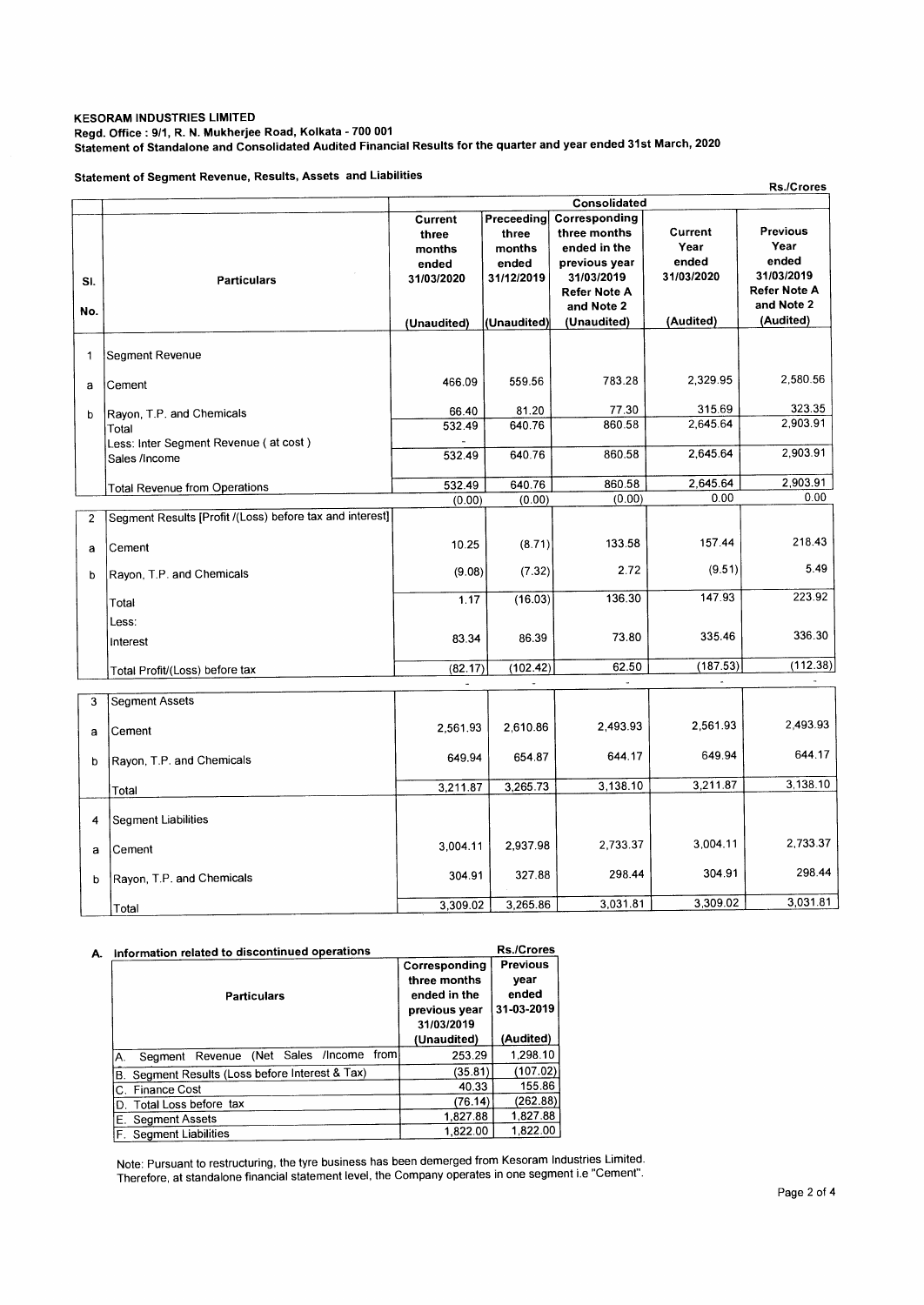## **KESORAM INDUSTRIES LIMITED Regd. Office : 9/1, R. N. Mukherjee Road, Kolkata - 700 001 Statement of Standalone and Consolidated Audited Financial Results for the quarter and year ended 31st March, 2020**

**Statement of Segment Revenue, Results, Assets and Liabilities** 

|              | Statement of Segment Revenue, Results, Assets and Liabilities |                                                   |                                                      |                                                                                                                   |                                        | <b>Rs./Crores</b>                                                                   |
|--------------|---------------------------------------------------------------|---------------------------------------------------|------------------------------------------------------|-------------------------------------------------------------------------------------------------------------------|----------------------------------------|-------------------------------------------------------------------------------------|
|              |                                                               |                                                   |                                                      | Consolidated                                                                                                      |                                        |                                                                                     |
| SI.<br>No.   | <b>Particulars</b>                                            | Current<br>three<br>months<br>ended<br>31/03/2020 | Preceeding<br>three<br>months<br>ended<br>31/12/2019 | Corresponding<br>three months<br>ended in the<br>previous year<br>31/03/2019<br><b>Refer Note A</b><br>and Note 2 | Current<br>Year<br>ended<br>31/03/2020 | <b>Previous</b><br>Year<br>ended<br>31/03/2019<br><b>Refer Note A</b><br>and Note 2 |
|              |                                                               | (Unaudited)                                       | (Unaudited)                                          | (Unaudited)                                                                                                       | (Audited)                              | (Audited)                                                                           |
| $\mathbf{1}$ | Segment Revenue                                               |                                                   |                                                      |                                                                                                                   |                                        |                                                                                     |
| a            | Cement                                                        | 466.09                                            | 559.56                                               | 783.28                                                                                                            | 2,329.95                               | 2,580.56                                                                            |
| $\mathbf b$  | Rayon, T.P. and Chemicals                                     | 66.40                                             | 81.20                                                | 77.30                                                                                                             | 315.69                                 | 323.35                                                                              |
|              | Total                                                         | 532.49                                            | 640.76                                               | 860.58                                                                                                            | 2,645.64                               | 2,903.91                                                                            |
|              | Less: Inter Segment Revenue (at cost)                         |                                                   | 640.76                                               | 860.58                                                                                                            | 2.645.64                               | 2,903.91                                                                            |
|              | Sales /Income                                                 | 532.49                                            |                                                      |                                                                                                                   |                                        |                                                                                     |
|              | <b>Total Revenue from Operations</b>                          | 532.49                                            | 640.76                                               | 860.58                                                                                                            | 2,645.64                               | 2,903.91                                                                            |
|              |                                                               | (0.00)                                            | (0.00)                                               | (0.00)                                                                                                            | 0.00                                   | 0.00                                                                                |
| 2            | Segment Results [Profit /(Loss) before tax and interest]      |                                                   |                                                      |                                                                                                                   |                                        |                                                                                     |
| a            | Cement                                                        | 10.25                                             | (8.71)                                               | 133.58                                                                                                            | 157.44                                 | 218.43                                                                              |
| b            | Rayon, T.P. and Chemicals                                     | (9.08)                                            | (7.32)                                               | 2.72                                                                                                              | (9.51)                                 | 5.49                                                                                |
|              | Total                                                         | 1.17                                              | (16.03)                                              | 136.30                                                                                                            | 147.93                                 | 223.92                                                                              |
|              | Less:<br>Interest                                             | 83.34                                             | 86.39                                                | 73.80                                                                                                             | 335.46                                 | 336.30                                                                              |
|              | Total Profit/(Loss) before tax                                | (82.17)                                           | (102.42)                                             | 62.50                                                                                                             | (187.53)                               | (112.38)                                                                            |
|              |                                                               | u,                                                |                                                      |                                                                                                                   | $\blacksquare$                         |                                                                                     |
| 3<br>a       | <b>Segment Assets</b><br>Cement                               | 2.561.93                                          | 2,610.86                                             | 2.493.93                                                                                                          | 2,561.93                               | 2,493.93                                                                            |
|              |                                                               |                                                   |                                                      |                                                                                                                   |                                        |                                                                                     |
| b            | Rayon, T.P. and Chemicals                                     | 649.94                                            | 654.87                                               | 644.17                                                                                                            | 649.94                                 | 644.17                                                                              |
|              | Total                                                         | 3,211.87                                          | 3,265.73                                             | 3,138.10                                                                                                          | 3,211.87                               | 3,138.10                                                                            |
| 4            | Segment Liabilities                                           |                                                   |                                                      |                                                                                                                   |                                        |                                                                                     |
| a            | Cement                                                        | 3,004.11                                          | 2.937.98                                             | 2,733.37                                                                                                          | 3.004.11                               | 2,733.37                                                                            |
| b            | Rayon, T.P. and Chemicals                                     | 304.91                                            | 327.88                                               | 298.44                                                                                                            | 304.91                                 | 298.44                                                                              |
|              | Total                                                         | 3,309.02                                          | 3,265.86                                             | 3,031.81                                                                                                          | 3,309.02                               | 3,031.81                                                                            |

# A. Information related to discontinued operations

| Information related to discontinued operations            |                                                                              | <b>Rs./Crores</b>                              |
|-----------------------------------------------------------|------------------------------------------------------------------------------|------------------------------------------------|
| <b>Particulars</b>                                        | Corresponding<br>three months<br>ended in the<br>previous year<br>31/03/2019 | <b>Previous</b><br>year<br>ended<br>31-03-2019 |
|                                                           | (Unaudited)                                                                  | (Audited)                                      |
| from<br>(Net<br>Sales<br>/Income<br>Segment Revenue<br>А. | 253.29                                                                       | 1,298.10                                       |
| Segment Results (Loss before Interest & Tax)<br>В.        | (35.81)                                                                      | (107.02)                                       |
| Finance Cost<br>С.                                        | 40.33                                                                        | 155.86                                         |
| D. Total Loss before tax                                  | (76.14)                                                                      | (262.88)                                       |
| E. Segment Assets                                         | 1,827.88                                                                     | 1,827.88                                       |
| F. Segment Liabilities                                    | 1,822.00                                                                     | 1,822.00                                       |

Note: Pursuant to restructuring, the tyre business has been demerged from Kesoram Industries Limited. Therefore, at standalone financial statement level, the Company operates in one segment i.e "Cement".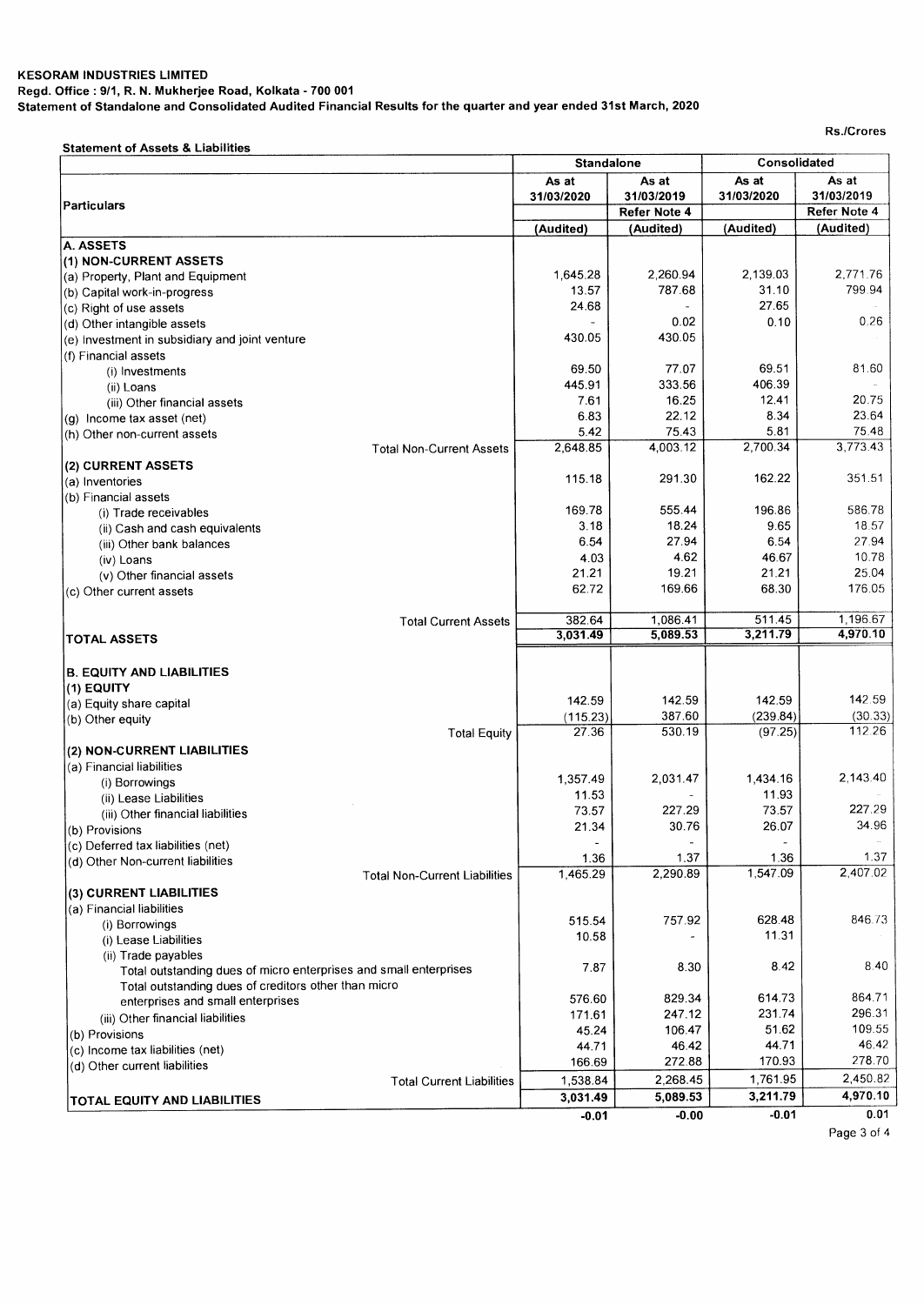## **KESORAM INDUSTRIES LIMITED Regd. Office : 9/1, R. N. Mukherjee Road, Kolkata - 700 001 Statement of Standalone and Consolidated Audited Financial Results for the quarter and year ended 31st March, 2020**

**Rs./Crores** 

**Statement of Assets & Liabilities** 

|                                                                        | <b>Standalone</b>   |                     | Consolidated             |                     |  |
|------------------------------------------------------------------------|---------------------|---------------------|--------------------------|---------------------|--|
|                                                                        | As at<br>31/03/2020 | As at<br>31/03/2019 | As at<br>31/03/2020      | As at<br>31/03/2019 |  |
| <b>Particulars</b>                                                     |                     | Refer Note 4        |                          | Refer Note 4        |  |
|                                                                        | (Audited)           | (Audited)           | (Audited)                | (Audited)           |  |
| A. ASSETS                                                              |                     |                     |                          |                     |  |
| (1) NON-CURRENT ASSETS                                                 |                     |                     |                          |                     |  |
| (a) Property, Plant and Equipment                                      | 1,645.28            | 2,260.94            | 2,139.03                 | 2,771.76            |  |
| (b) Capital work-in-progress                                           | 13.57               | 787.68              | 31.10                    | 799.94              |  |
| (c) Right of use assets                                                | 24.68               |                     | 27.65                    | 0.26                |  |
| (d) Other intangible assets                                            | 430.05              | 0.02<br>430.05      | 0.10                     |                     |  |
| (e) Investment in subsidiary and joint venture<br>(f) Financial assets |                     |                     |                          |                     |  |
| (i) Investments                                                        | 69.50               | 77.07               | 69.51                    | 81.60               |  |
| (ii) Loans                                                             | 445.91              | 333.56              | 406.39                   |                     |  |
| (iii) Other financial assets                                           | 7.61                | 16.25               | 12.41                    | 20.75               |  |
| (g) Income tax asset (net)                                             | 6.83                | 22.12               | 8.34                     | 23.64               |  |
| (h) Other non-current assets                                           | 5.42                | 75.43               | 5.81                     | 75.48               |  |
| <b>Total Non-Current Assets</b>                                        | 2,648.85            | 4,003.12            | 2,700.34                 | 3,773.43            |  |
| (2) CURRENT ASSETS                                                     |                     |                     |                          |                     |  |
| (a) Inventories                                                        | 115.18              | 291.30              | 162.22                   | 351.51              |  |
| (b) Financial assets                                                   |                     |                     |                          |                     |  |
| (i) Trade receivables                                                  | 169.78              | 555.44              | 196.86                   | 586.78              |  |
| (ii) Cash and cash equivalents                                         | 3.18                | 18.24               | 9.65                     | 18.57               |  |
| (iii) Other bank balances                                              | 6.54                | 27.94               | 6.54                     | 27.94               |  |
| (iv) Loans                                                             | 4.03                | 4.62                | 46.67                    | 10.78               |  |
| (v) Other financial assets                                             | 21.21               | 19.21               | 21.21                    | 25.04               |  |
| (c) Other current assets                                               | 62.72               | 169.66              | 68.30                    | 176.05              |  |
| <b>Total Current Assets</b>                                            | 382.64              | 1,086.41            | 511.45                   | 1,196.67            |  |
| TOTAL ASSETS                                                           | 3,031.49            | 5,089.53            | 3,211.79                 | 4,970.10            |  |
|                                                                        |                     |                     |                          |                     |  |
| <b>B. EQUITY AND LIABILITIES</b>                                       |                     |                     |                          |                     |  |
| (1) EQUITY                                                             |                     |                     |                          | 142.59              |  |
| (a) Equity share capital                                               | 142.59              | 142.59              | 142.59                   |                     |  |
| (b) Other equity                                                       | (115.23)<br>27.36   | 387.60<br>530.19    | (239.84)<br>(97.25)      | (30.33)<br>112.26   |  |
| <b>Total Equity</b>                                                    |                     |                     |                          |                     |  |
| (2) NON-CURRENT LIABILITIES                                            |                     |                     |                          |                     |  |
| (a) Financial liabilities<br>(i) Borrowings                            | 1,357.49            | 2,031.47            | 1,434.16                 | 2.143.40            |  |
| (ii) Lease Liabilities                                                 | 11.53               |                     | 11.93                    |                     |  |
| (iii) Other financial liabilities                                      | 73.57               | 227.29              | 73.57                    | 227.29              |  |
| (b) Provisions                                                         | 21.34               | 30.76               | 26.07                    | 34.96               |  |
| (c) Deferred tax liabilities (net)                                     |                     | $\blacksquare$      | $\overline{\phantom{a}}$ |                     |  |
| (d) Other Non-current liabilities                                      | 1.36                | 1.37                | 1.36                     | 1.37                |  |
| <b>Total Non-Current Liabilities</b>                                   | 1,465.29            | 2,290.89            | 1.547.09                 | 2,407.02            |  |
| (3) CURRENT LIABILITIES                                                |                     |                     |                          |                     |  |
| (a) Financial liabilities                                              |                     |                     |                          |                     |  |
| (i) Borrowings                                                         | 515.54              | 757.92              | 628.48                   | 846.73              |  |
| (i) Lease Liabilities                                                  | 10.58               |                     | 11.31                    |                     |  |
| (ii) Trade payables                                                    |                     |                     |                          |                     |  |
| Total outstanding dues of micro enterprises and small enterprises      | 7.87                | 8.30                | 8.42                     | 8.40                |  |
| Total outstanding dues of creditors other than micro                   |                     |                     |                          |                     |  |
| enterprises and small enterprises                                      | 576.60              | 829.34              | 614.73<br>231.74         | 864.71<br>296.31    |  |
| (iii) Other financial liabilities                                      | 171.61<br>45.24     | 247.12<br>106.47    | 51.62                    | 109.55              |  |
| (b) Provisions                                                         | 44.71               | 46.42               | 44.71                    | 46.42               |  |
| (c) Income tax liabilities (net)                                       | 166.69              | 272.88              | 170.93                   | 278.70              |  |
| (d) Other current liabilities                                          | 1,538.84            | 2,268.45            | 1,761.95                 | 2,450.82            |  |
| <b>Total Current Liabilities</b>                                       | 3,031.49            | 5,089.53            | 3,211.79                 | 4,970.10            |  |
| TOTAL EQUITY AND LIABILITIES                                           |                     |                     | $-0.01$                  | 0.01                |  |
|                                                                        | $-0.01$             | $-0.00$             |                          |                     |  |

**Page 3 of 4**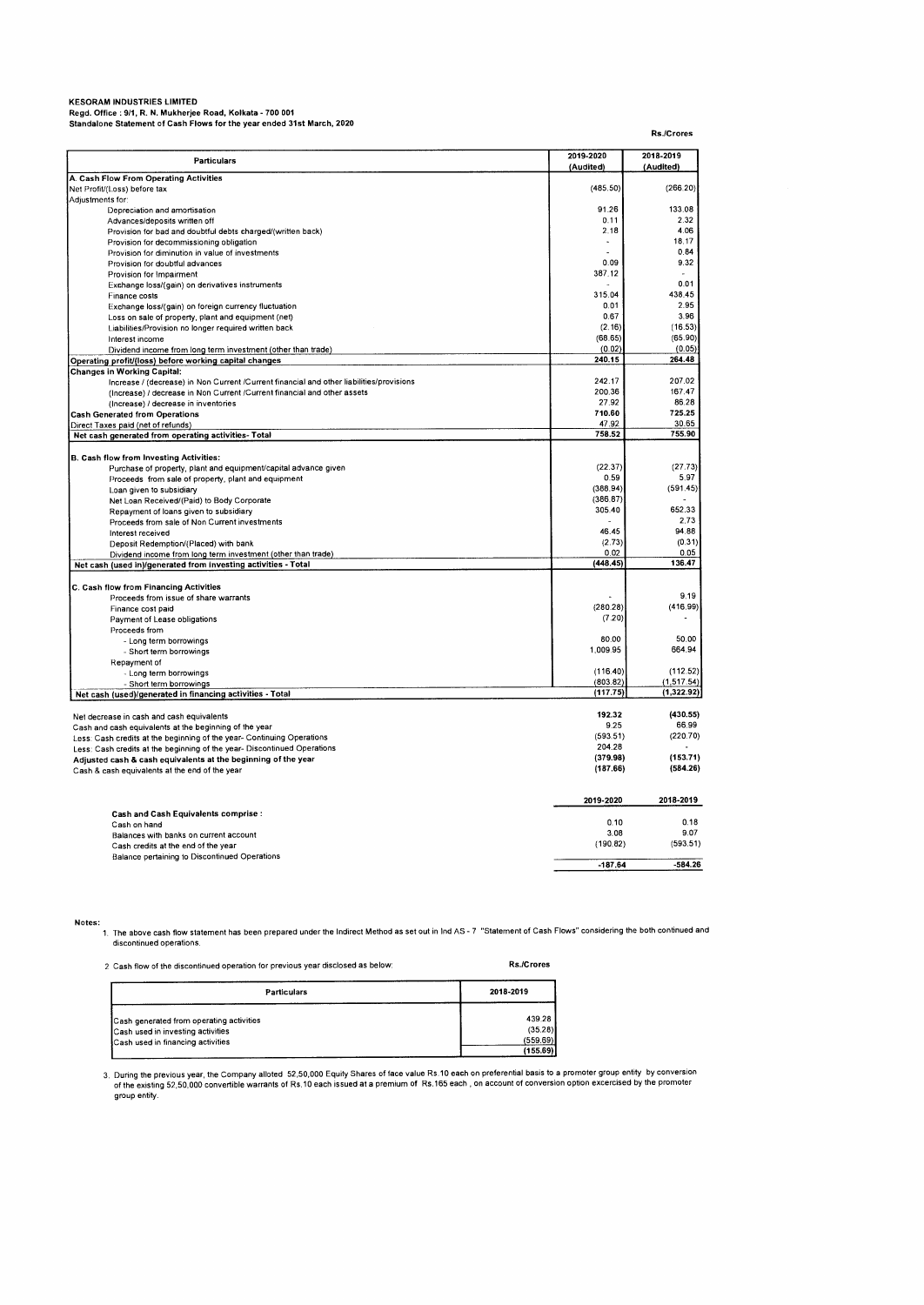Regd. Office : 9/1, R. N. Mukherjee Road, Kolkata - 700 001<br>Standalone Statement of Cash Flows for the year ended 31st March, 2020

**Rs./Crores Particulars 2019-2020 (Audited) 2018-2019 (Audited) A. Cash Flow From Operating Activities**  Net Profit/(Loss) before tax (485.50) (266.20) Adjustments for: Depreciation and amortisation and amortisation of the Depreciation and amortisation of the Depreciation and amortisation of the Depreciation and department of the Depreciation of the Department of the Department of the Dep Advances/deposits written off 0.11 2.32 Provision for bad and doubtful debts charged/(written back) 2.18 4.06 Provision for decommissioning obligation 18.17 (18.17 or different in the control of the control of the control of the control of the control of the control of the control of the control of the control of the control of th Provision for diminuation in value of investments<br>
Provision for doubtful advances<br>
Provision for Impairment **2.09** 9.32 Provision for Impairment Exchange loss/(gain) on derivatives instruments and the contract of the contract of the contract of the contract of the contract of the contract of the contract of the contract of the contract of the contract of the contra Finance costs  $\begin{array}{|c|c|c|c|c|c|c|c|c|} \hline \end{array}$   $\begin{array}{|c|c|c|c|c|c|c|c|} \hline \end{array}$   $\begin{array}{|c|c|c|c|c|c|} \hline \end{array}$   $\begin{array}{|c|c|c|c|c|} \hline \end{array}$   $\begin{array}{|c|c|c|c|c|} \hline \end{array}$   $\begin{array}{|c|c|c|c|c|} \hline \end{array}$   $\begin{array}{|c|c|c|c|c|} \hline \end$ Finance costs of the costs of the costs of the costs of the costs of the costs of the costs of the costs of the costs of the costs of the costs of the costs of the costs of the costs of the costs of the costs of the costs Loss on sale of property, plant and equipment (net) (and the control of the control of the control of the control of the control of the control of the control of the control of the control of the control of the control of Liabilities/Provision no longer required written back (16.53) (16.53 (2.16) (16.53 (2.16) (16.53 (16.59 (56.90<br>Interest income (68.65) (65.90 (55.90 (55.90 (55.90 ) (55.90 ) (55.90 ) (55.90 ) (55.90 ) (55.90 ) (55.90 ) ( Interest income (68.65) (65.90) Dividend income from long term investment (other than trade) (0.02) (0.05) (0.05) (0.05) (0.05) (0.05) (0.05) (0.05) (0.05) (0.05) (0.05) (0.05) (0.05) (0.05) (0.05) (0.05) (0.05) (0.05) (0.05) (0.05) (0.05) (0.05) (0.05) **Operating profit/(loss) before working capital changes 240.15 264.48 Changes in Working Capital:**  Increase / (decrease) in Non Current /Current financial and other liabilities/provisions 242.17 207.02 (Increase) / decrease in Non Current /Current financial and other assets 200.36 167.47 Findex and Content of Content Content manufal and other assets<br>
(Increase) / decrease in inventories 200.38 86.28<br>
(Increase) / decrease in inventories 27.92 86.28<br>
erated from Operations 710.60 725.25 Cash Generated from Operations **710.60** 725.25<br>
<u>Direct Taxes paid (net of refunds)</u> 30.65<br>
Net cash generated from operating activities- Total 758.52 755.90<br>
Net cash generated from operating activities- Total Direct Taxes paid (net of refunds) **47.92 30.65**<br> **Net cash generated from operating activities- Total 758.52** 755.90 **758.52** 755.90 **B. Cash flow from Investing Activities:**  Purchase of property, plant and equipment/capital advance given (27.73) (27.73) (27.73) (27.73) (27.73) (27.73<br>Proceeds from sale of property, plant and equipment (28.97 ) (27.97) (27.73) (27.73) (27.73) (27.73) (27.73) ( Proceeds from sale of property, plant and equipment (388.94) (591.45)<br>
Loan given to subsidiary (388.94) (591.45)<br>
Loan given to subsidiary (388.94) (591.45)<br>
Alat Loan Beceived/(Parit) to Roch Coroocate Net Loan Received/(Paid) to Body Corporate (386.87)<br>Net Loan Received/(Paid) to Body Corporate (386.87)<br>Repayment of Ioans given to subsidiary Net Loan Received (Falu) to bouy Outputate<br>Repayment of loans given to subsidiary 305.40 652.33<br>Drocode from to be of Neo Current investments Proceeds from sale of Non Current investments **2.73** 2.73<br>Interest received and the United States of the States of the States 2.73 2.73 2.73 Interest received 46.45 PM and the set of the set of the set of the set of the set of the set of the set of the set of the set of the set of the set of the set of the set of the set of the set of the set of the set of the Deposit Redemption/(Placed) with bank (2.73) (0.31<br>Dividend income from long term investment (other than trade) (0.05 (0.05) (0.05 (0.05 (0.05 (0.05 ) (0.05 ) (0 Dividend income from long term investment (other than trade) 0.02 0.05 **Net cash (used in)/generated from investing activities - Total (448.45) 136.47 C. Cash flow from Financing Activities**  Proceeds from issue of share warrants - 9.19<br>Proceeds from issue of share warrants - 9.19<br>Finance cost naid - 9.919 (416.99) Finance cost paid (280.28) (280.28)<br>
Payment of Lease obligations (7.20) Payment of Lease obligations Proceeds from - Long term borrowings 80.00 50.00 - Short term borrowings Repayment of - Unit of the Unit of the Unit of the Unit of the Unit of the Unit of the Unit of the Unit of the Unit of the U<br>- Long term borrowings (803.82) (1,517.54) (1,517.54) (803.82) (1,517.54)<br>- Ed)/generated in financing activit - Short term borrowings (803.82) (1,517.54)<br>| 6d)/generated in financing activities - Total (117.75) (1,322.92) **Net cash (used)/generated in financing activities - Total** Net decrease in cash and cash equivalents<br>
Cash and cash equivalents at the beginning of the year<br>
Less: Cash credits at the beginning of the year- Continuing Operations<br>
Less: Cash credits at the beginning of the year- Co Not decrease of the second the second of the year 9.25 66.99 66.99 66.99 66.99 66.99 66.99 66.99 66.99 66.99 6<br>Cash and cash equivalents at the beginning of the year 9.200.70)<br>Less: Cash credits at the beginning of the yea Less: Cash credits at the beginning of the year- Continuing Operations (593.51) (593.51) (220.70) (220.70) (220<br>Less: Cash credits at the beginning of the year- Discontinued Operations (2004) (204.28 (204.28 (204.28 (204.2 ress, cash deduced at the beginning of the year Discommuded Operations<br> **Adjusted cash 8, cash equivalents at the beginning of the year** (379.98) (153.71)<br>
Cash 8 apple particularly at the year (187.66) (584.26) Cash & cash equivalents at the end of the year **(187.66) (584.26) 2019-2020 2018-2019 Cash and Cash Equivalents comprise**  Cash on hand 0.10 0.18 Balances with banks on current account the community of the state of the state of the state of the year of the year of the year of the year of the year of the year of the year of the year of the year of the year of the yea Cash credits at the end of the year Balance pertaining to Discontinued Operations **-187.64 -584.26** 

**Notes:** 

1. The above cash flow statement has been prepared under the Indirect Method as set out in Ind AS - 7 "Statement of Cash Flows" considering the both continued and discontinued operations.

2 Cash flow of the discontinued operation for previous year disclosed as below: **Rs./Crores** 

| Particulars                              | 2018-2019 |
|------------------------------------------|-----------|
| Cash generated from operating activities | 439.28    |
| Cash used in investing activities        | (35.28)   |
| Cash used in financing activities        | (559.69)  |
|                                          | (155.69)  |

3. During the previous year, the Company alloted 52,50,000 Equity Shares of face value Rs.10 each on preferential basis to a promoter group entity by conversion<br>of the existing 52,50,000 convertible warrants of Rs.10 eac group entity.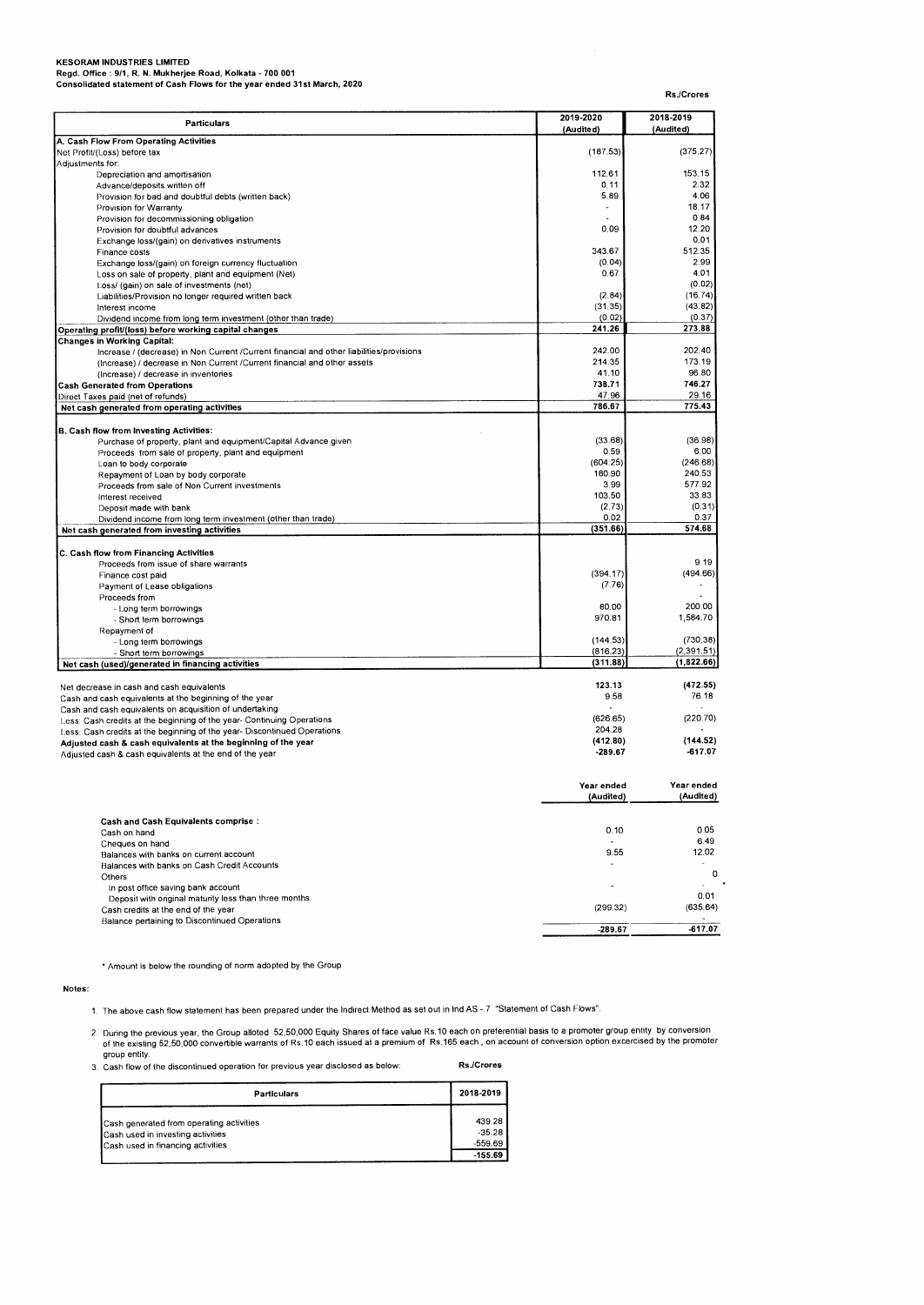**KESORAM INDUSTRIES LIMITED Regd. Office : 9/1, R. N. Mukherjee Road, Kolkata - 700 001 Consolidated statement of Cash Flows for the year ended 31st March, 2020** 

| Consolidated statement of Cash Flows for the year ended 5 ist march,                         |                         | Rs./Crores             |
|----------------------------------------------------------------------------------------------|-------------------------|------------------------|
| <b>Particulars</b>                                                                           | 2019-2020<br>(Audited)  | 2018-2019<br>(Audited) |
| A. Cash Flow From Operating Activities                                                       |                         |                        |
| Net Profit/(Loss) before tax                                                                 | (187.53)                | (375.27)               |
| Adjustments for:                                                                             |                         |                        |
| Depreciation and amortisation                                                                | 112.61                  | 153.15                 |
| Advance/deposits written off                                                                 | 0.11                    | 2.32                   |
| Provision for bad and doubtful debts (written back)                                          | 5.89                    | 4.06                   |
| Provision for Warranty<br>Provision for decommissioning obligation                           | $\sim$                  | 18.17<br>0.84          |
| Provision for doubtful advances                                                              | 0.09                    | 12.20                  |
| Exchange loss/(gain) on derivatives instruments                                              |                         | 0.01                   |
| Finance costs                                                                                | 343.67                  | 512.35                 |
| Exchange loss/(gain) on foreign currency fluctuation                                         | (0.04)                  | 2.99                   |
| Loss on sale of property, plant and equipment (Net)                                          | 0.67                    | 4.01                   |
| Loss/ (gain) on sale of investments (net)                                                    |                         | (0.02)                 |
| Liabilities/Provision no longer required written back                                        | (2.84)                  | (16.74)                |
| Interest income                                                                              | (31.35)                 | (43.82)                |
| Dividend income from long term investment (other than trade)                                 | (0.02)<br>241.26        | (0.37)<br>273.88       |
| Operating profit/(loss) before working capital changes<br><b>Changes in Working Capital:</b> |                         |                        |
| Increase / (decrease) in Non Current / Current financial and other liabilities/provisions    | 242.00                  | 202.40                 |
| (Increase) / decrease in Non Current / Current financial and other assets                    | 214.35                  | 173.19                 |
| (Increase) / decrease in inventories                                                         | 41.10                   | 96.80                  |
| <b>Cash Generated from Operations</b>                                                        | 738.71                  | 746.27                 |
| Direct Taxes paid (net of refunds)                                                           | 47.96                   | 29.16                  |
| Net cash generated from operating activities                                                 | 786.67                  | 775.43                 |
|                                                                                              |                         |                        |
| B. Cash flow from Investing Activities:                                                      |                         |                        |
| Purchase of property, plant and equipment/Capital Advance given                              | (33.68)                 | (36.98)                |
| Proceeds from sale of property, plant and equipment                                          | 0.59<br>(604.25)        | 6.00<br>(246.68)       |
| Loan to body corporate                                                                       | 180.90                  | 240.53                 |
| Repayment of Loan by body corporate<br>Proceeds from sale of Non Current investments         | 3.99                    | 577.92                 |
| Interest received                                                                            | 103.50                  | 33.83                  |
| Deposit made with bank                                                                       | (2.73)                  | (0.31)                 |
| Dividend income from long term investment (other than trade)                                 | 0.02                    | 0.37                   |
| Net cash generated from investing activities                                                 | (351.66)                | 574.68                 |
| C. Cash flow from Financing Activities                                                       |                         |                        |
| Proceeds from issue of share warrants                                                        |                         | 9.19                   |
| Finance cost paid                                                                            | (394.17)                | (494.66)               |
| Payment of Lease obligations                                                                 | (7.76)                  |                        |
| Proceeds from                                                                                |                         |                        |
| - Long term borrowings                                                                       | 80.00                   | 200,00                 |
| - Short term borrowings                                                                      | 970.81                  | 1,584.70               |
| Repayment of                                                                                 | (144.53)                | (730.38)               |
| - Long term borrowings                                                                       | (816.23)                | (2, 391.51)            |
| - Short term borrowings<br>Net cash (used)/generated in financing activities                 | (311.88)                | (1,822.66)             |
|                                                                                              |                         |                        |
| Net decrease in cash and cash equivalents                                                    | 123.13                  | (472.55)               |
| Cash and cash equivalents at the beginning of the year                                       | 9.58                    | 76.18                  |
| Cash and cash equivalents on acquisition of undertaking                                      |                         |                        |
| Less: Cash credits at the beginning of the year- Continuing Operations                       | (626.65)                | (220.70)               |
| Less: Cash credits at the beginning of the year- Discontinued Operations                     | 204.28<br>(412.80)      | (144.52)               |
| Adjusted cash & cash equivalents at the beginning of the year                                | $-289.67$               | 617.07                 |
| Adjusted cash & cash equivalents at the end of the year                                      |                         |                        |
|                                                                                              |                         | Year ended             |
|                                                                                              | Year ended<br>(Audited) | (Audited)              |
|                                                                                              |                         |                        |
| Cash and Cash Equivalents comprise :                                                         | 0.10                    | 0.05                   |
| Cash on hand                                                                                 |                         | 6.49                   |
| Cheques on hand<br>Balances with banks on current account                                    | 9.55                    | 12.02                  |
| Balances with banks on Cash Credit Accounts                                                  | ٠                       |                        |
| Others                                                                                       |                         | $\circ$                |
| in post office saving bank account                                                           |                         |                        |
| Deposit with original maturity less than three months                                        |                         | 0.01                   |
| Cash credits at the end of the year                                                          | (299.32)                | (635.64)               |
| Balance pertaining to Discontinued Operations                                                | -289.67                 | -617.07                |
|                                                                                              |                         |                        |

Amount is below the rounding of norm adopted by the Group

Notes:

1. The above cash flow statement has been prepared under the Indirect Method as set out in Ind AS - 7 "Statement of Cash Flows".

2. During the previous year, the Group alloted 52,50,000 Equity Shares of face value Rs.10 each on preferential basis to a promoter group entity by conversion<br>of the existing 52,50,000 convertible warrants of Rs.10 each

**Rs./Crores** 3. Cash flow of the discontinued operation for previous year disclosed as below:

| <b>Particulars</b>                       | 2018-2019 |
|------------------------------------------|-----------|
| Cash generated from operating activities | 439.28    |
| Cash used in investing activities        | $-35.28$  |
| Cash used in financing activities        | $-559.69$ |
|                                          | $-155.69$ |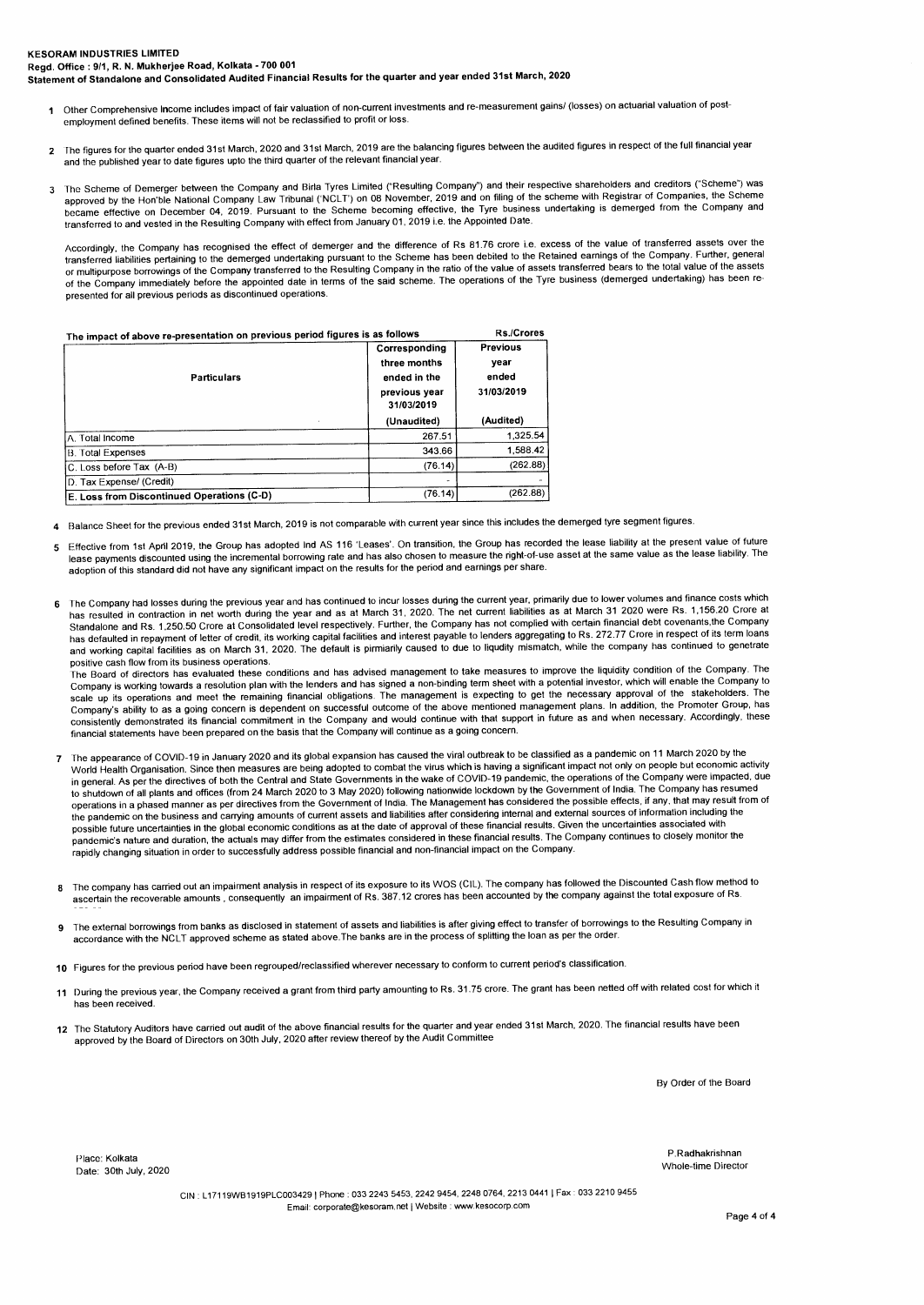- **1** Other Comprehensive Income includes impact of fair valuation of non-current investments and re-measurement gains/ (losses) on actuarial valuation of postemployment defined benefits. These items will not be reclassified to profit or loss.
- **<sup>2</sup>**The figures for the quarter ended 31st March, 2020 and 31st March, 2019 are the balancing figures between the audited figures in respect of the full financial year and the published year to date figures upto the third quarter of the relevant financial year.
- The Scheme of Demerger between the Company and Birla Tyres Limited ("Resulting Company") and their respective shareholders and creditors ("Scheme") was<br>approved by the Hon'ble National Company Law Tribunal ('NCLT') on 08 N became effective on December 04, 2019. Pursuant to the Scheme becoming effective, the Tyre business undertaking is demerged from the Company and transferred to and vested in the Resulting Company with effect from January 01, 2019 i.e. the Appointed Date.

Accordingly, the Company has recognised the effect of demerger and the difference of Rs 81.76 crore i.e. excess of the value of transferred assets over the transferred liabilities pertaining to the demerged undertaking pursuant to the Scheme has been debited to the Retained earnings of the Company. Further, genera<br>or multipurpose borrowings of the Company transferred to the of the Company immediately before the appointed date in terms of the said scheme. The operations of the Tyre business (demerged undertaking) has been represented for all previous periods as discontinued operations.

| The impact of above re-presentation on previous period figures is as follows | <b>Rs./Crores</b>                                                            |                                                |
|------------------------------------------------------------------------------|------------------------------------------------------------------------------|------------------------------------------------|
| <b>Particulars</b>                                                           | Corresponding<br>three months<br>ended in the<br>previous year<br>31/03/2019 | <b>Previous</b><br>vear<br>ended<br>31/03/2019 |
|                                                                              | (Unaudited)                                                                  | (Audited)                                      |
| IA. Total Income                                                             | 267.51                                                                       | 1.325.54                                       |
| <b>B.</b> Total Expenses                                                     | 343.66                                                                       | 1,588.42                                       |
| C. Loss before Tax (A-B)                                                     | (76.14)                                                                      | (262.88)                                       |
| D. Tax Expense/ (Credit)                                                     |                                                                              |                                                |
| E. Loss from Discontinued Operations (C-D)                                   | (76.14)                                                                      | (262.88)                                       |

**<sup>4</sup>**Balance Sheet for the previous ended 31st March, 2019 is not comparable with current year since this includes the demerged tyre segment figures.

- 5 Effective from 1st April 2019, the Group has adopted Ind AS 116 'Leases'. On transition, the Group has recorded the lease liability at the present value of future lease payments discounted using the incremental borrowing rate and has also chosen to measure the right-of-use asset at the same value as the lease liability. The adoption of this standard did not have any significant impact on the results for the period and earnings per share.
- **<sup>6</sup>**The Company had losses during the previous year and has continued to incur losses during the current year, primarily due to lower volumes and finance costs which has resulted in contraction in net worth during the year and as at March 31, 2020. The net current liabilities as at March 31 2020 were Rs. 1,156.20 Crore at Standalone and Rs. 1,250.50 Crore at Consolidated level respectively. Further, the Company has not complied with certain financial debt covenants,the Company has defaulted in repayment of letter of credit, its working capital facilities and interest payable to lenders aggregating to Rs. 272.77 Crore in respect of its term loans and working capital facilities as on March 31, 2020. The default is pirmiarily caused to due to liqudity mismatch, while the company has continued to genetrate positive cash flow from its business operations.

The Board of directors has evaluated these conditions and has advised management to take measures to improve the liquidity condition of the Company. The Company is working towards a resolution plan with the lenders and has signed a non-binding term sheet with a potential investor, which will enable the Company to scale up its operations and meet the remaining financial obligations. The management is expecting to get the necessary approval of the stakeholders. The Company's ability to as a going concern is dependent on successful outcome of the above mentioned management plans. In addition, the Promoter Group, has<br>consistently demonstrated its financial commitment in the Company and financial statements have been prepared on the basis that the Company will continue as a going concern.

- 7 The appearance of COVID-19 in January 2020 and its global expansion has caused the viral outbreak to be classified as a pandemic on 11 March 2020 by the World Health Organisation. Since then measures are being adopted to combat the virus which is having a significant impact not only on people but economic activity in general. As per the directives of both the Central and State Governments in the wake of COVID-19 pandemic, the operations of the Company were impacted, due to shutdown of all plants and offices (from 24 March 2020 to 3 May 2020) following nationwide lockdown by the Government of India. The Company has resulned<br>operations in a phased manner as per directives from the Governmen the pandemic on the business and carrying amounts of current assets and liabilities after considering internal and external sources of information including the possible future uncertainties in the global economic conditions as at the date of approval of these financial results. Given the uncertainties associated with pandemic's nature and duration, the actuals may differ from the estimates considered in these financial results. The Company continues to closely monitor the rapidly changing situation in order to successfully address possible financial and non-financial impact on the Company.
- **<sup>8</sup>**The company has carried out an impairment analysis in respect of its exposure to its WOS (CIL). The company has followed the Discounted Cash flow method to ascertain the recoverable amounts , consequently an impairment of Rs. 387.12 crores has been accounted by the company against the total exposure of Rs.
- **<sup>9</sup>**The external borrowings from banks as disclosed in statement of assets and liabilities is after giving effect to transfer of borrowings to the Resulting Company in accordance with the NC LT approved scheme as stated above.The banks are in the process of splitting the loan as per the order.
- **10** Figures for the previous period have been regrouped/reclassified wherever necessary to conform to current period's classification.
- **<sup>11</sup>**During the previous year, the Company received a grant from third party amounting to Rs. 31.75 crore. The grant has been netted off with related cost for which it has been received.
- **<sup>12</sup>**The Statutory Auditors have carried out audit of the above financial results for the quarter and year ended 31st March, 2020. The financial results have been approved by the Board of Directors on 30th July, 2020 after review thereof by the Audit Committee

By Order of the Board

Place: Kolkata Personal Reserves and Property and Place: Kolkata Property and Place: Kolkata Place: Notes and P<br>Place: Kolkata Place: Nolvata<br>Date: 30th July, 2020

CIN : L17119WB1919PLC0034291 Phone : 033 2243 5453, 2242 9454, 2248 0764, 2213 0441 1 Fax : 033 2210 9455 Email: corporate@kesoram.net I Website : www.kesocorp.com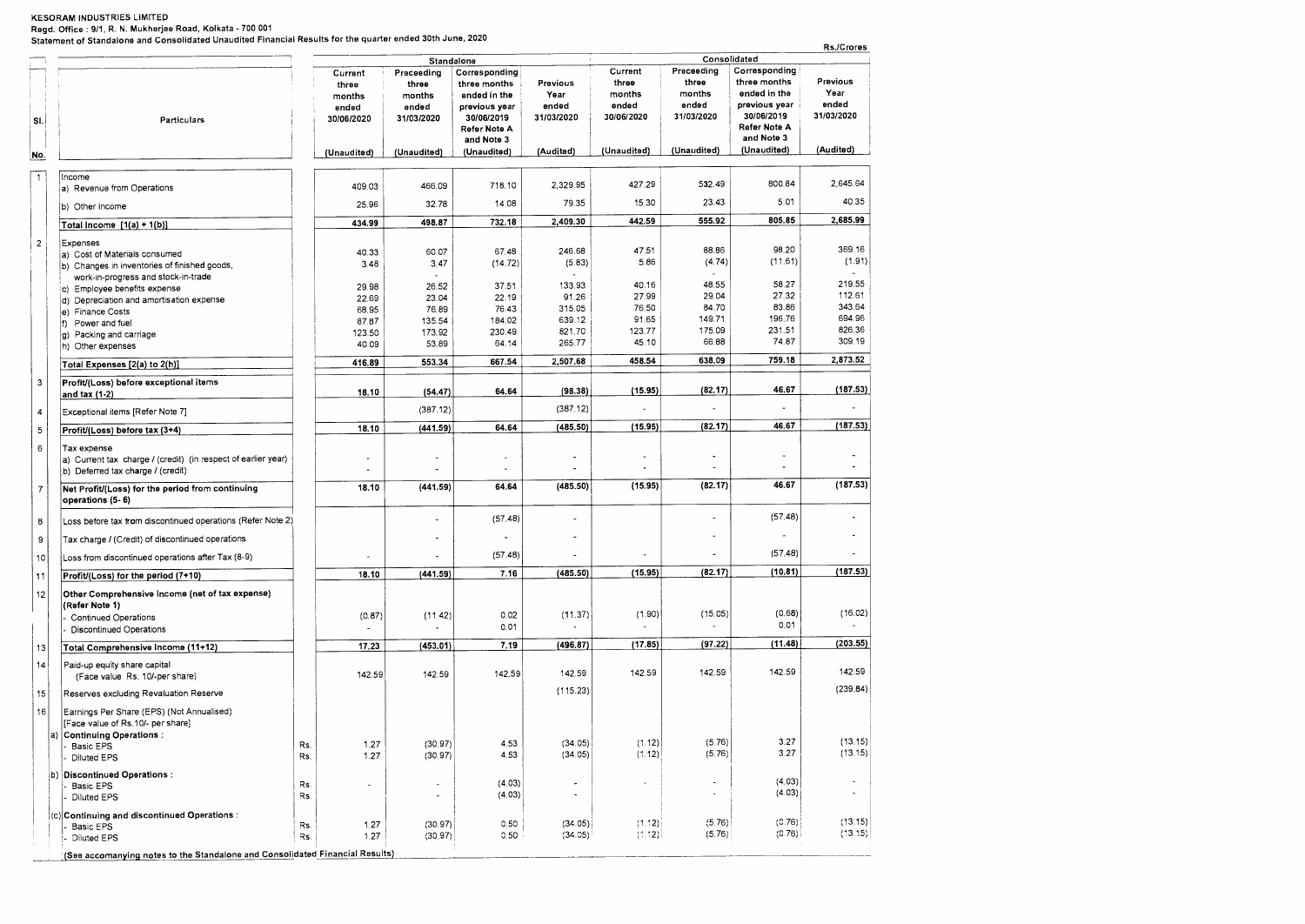**Regd. Office : 9/1, R. N. Mukherjee Road, Kolkata - 700 001 Statement of Standalone and Consolidated Unaudited Financial Results for the quarter ended 30th June, 2020** 

|                |                                                                                                                   |                                        |                                        |                                                             |                                                        |                                        |                                            |                                                             | Rs./Crores                              |
|----------------|-------------------------------------------------------------------------------------------------------------------|----------------------------------------|----------------------------------------|-------------------------------------------------------------|--------------------------------------------------------|----------------------------------------|--------------------------------------------|-------------------------------------------------------------|-----------------------------------------|
|                |                                                                                                                   | Current                                | Preceeding                             | Standalone<br>Corresponding                                 | Consolidated<br>Corresponding<br>Current<br>Preceeding |                                        |                                            |                                                             |                                         |
| SI.            | Particulars                                                                                                       | three<br>months<br>ended<br>30/06/2020 | three<br>months<br>ended<br>31/03/2020 | three months<br>ended in the<br>previous year<br>30/06/2019 | Previous<br>Year<br>ended<br>31/03/2020                | three<br>months<br>ended<br>30/06/2020 | three<br>months<br>ended<br>31/03/2020     | three months<br>ended in the<br>previous year<br>30/06/2019 | Previous<br>Year<br>ended<br>31/03/2020 |
|                |                                                                                                                   |                                        |                                        | Refer Note A<br>and Note 3                                  |                                                        |                                        |                                            | Refer Note A<br>and Note 3                                  |                                         |
| No.            |                                                                                                                   | (Unaudited)                            | (Unaudited)                            | (Unaudited)                                                 | (Audited)                                              | (Unaudited)                            | (Unaudited)                                | (Unaudited)                                                 | (Audited)                               |
| $\mathbf{1}$   | Income<br>a) Revenue from Operations                                                                              | 409.03                                 | 466.09                                 | 718.10                                                      | 2,329.95                                               | 427.29                                 | 532.49                                     | 800.84                                                      | 2,645.64                                |
|                | b) Other Income                                                                                                   | 25.96                                  | 32.78                                  | 14.08                                                       | 79.35                                                  | 15.30                                  | 23.43                                      | 5.01                                                        | 40.35                                   |
|                | Total Income $[1(a) + 1(b)]$                                                                                      | 434.99                                 | 498.87                                 | 732.18                                                      | 2,409.30                                               | 442.59                                 | 555.92                                     | 805.85                                                      | 2,685.99                                |
| $\overline{2}$ | Expenses                                                                                                          |                                        |                                        |                                                             |                                                        |                                        |                                            |                                                             |                                         |
|                | a) Cost of Materials consumed                                                                                     | 40.33                                  | 60.07                                  | 67.48                                                       | 246.68                                                 | 47.51                                  | 88.86                                      | 98.20<br>(11.61)                                            | 369.16<br>(1.91)                        |
|                | b) Changes in inventories of finished goods,                                                                      | 3.48                                   | 3.47                                   | (14.72)                                                     | (5.83)                                                 | 5.86                                   | (4.74)                                     |                                                             |                                         |
|                | work-in-progress and stock-in-trade<br>c) Employee benefits expense                                               | 29.98                                  | 26.52                                  | 37.51                                                       | 133.93                                                 | 40.16                                  | 48.55                                      | 58.27                                                       | 219.55                                  |
|                | d) Depreciation and amortisation expense                                                                          | 22.69                                  | 23.04                                  | 22.19                                                       | 91.26                                                  | 27.99                                  | 29.04                                      | 27.32                                                       | 112.61                                  |
|                | e) Finance Costs                                                                                                  | 68.95                                  | 76.89                                  | 76.43                                                       | 315.05                                                 | 76.50                                  | 84.70                                      | 83.86                                                       | 343.64                                  |
|                | f) Power and fuel                                                                                                 | 87.87                                  | 135.54                                 | 184.02                                                      | 639.12                                                 | 91.65                                  | 149.71                                     | 196.76                                                      | 694.96                                  |
|                | g) Packing and carriage                                                                                           | 123.50                                 | 173.92                                 | 230.49                                                      | 821.70                                                 | 123.77                                 | 175.09                                     | 231.51                                                      | 826.36                                  |
|                | h) Other expenses                                                                                                 | 40.09                                  | 53.89                                  | 64.14                                                       | 265.77                                                 | 45.10                                  | 66.88                                      | 74.87                                                       | 309.19                                  |
|                | Total Expenses [2(a) to 2(h)]                                                                                     | 416.89                                 | 553.34                                 | 667.54                                                      | 2,507.68                                               | 458.54                                 | 638.09                                     | 759.18                                                      | 2,873.52                                |
| 3              | Profit/(Loss) before exceptional items<br>and tax (1-2)                                                           | 18.10                                  | (54.47)                                | 64.64                                                       | (98.38)                                                | (15.95)                                | (82.17)                                    | 46.67                                                       | (187.53)                                |
| 4              | Exceptional items [Refer Note 7]                                                                                  |                                        | (387.12)                               |                                                             | (387.12)                                               |                                        |                                            | $\blacksquare$                                              |                                         |
| 5              | Profit/(Loss) before tax (3+4)                                                                                    | 18.10                                  | (441.59)                               | 64.64                                                       | (485.50)                                               | (15.95)                                | (82.17)                                    | 46.67                                                       | (187.53)                                |
| 6              | Tax expense<br>a) Current tax charge / (credit) (in respect of earlier year)<br>b) Deferred tax charge / (credit) |                                        |                                        | $\tilde{\phantom{a}}$                                       |                                                        | $\overline{a}$                         | ٠                                          |                                                             |                                         |
| $\overline{7}$ | Net Profit/(Loss) for the period from continuing<br>operations (5-6)                                              | 18.10                                  | (441.59)                               | 64.64                                                       | (485.50)                                               | (15.95)                                | (82.17)                                    | 46.67                                                       | (187.53)                                |
| 8              | Loss before tax from discontinued operations (Refer Note 2)                                                       |                                        |                                        | (57.48)                                                     | $\bullet$                                              |                                        | ÷,                                         | (57.48)                                                     |                                         |
| 9              | Tax charge / (Credit) of discontinued operations                                                                  |                                        | ä,                                     |                                                             | $\tilde{\phantom{a}}$                                  |                                        |                                            |                                                             |                                         |
| 10             | Loss from discontinued operations after Tax (8-9)                                                                 |                                        |                                        | (57.48)                                                     |                                                        |                                        |                                            | (57.48)                                                     |                                         |
| 11             | Profit/(Loss) for the period (7+10)                                                                               | 18.10                                  | (441.59)                               | 7.16                                                        | (485.50)                                               | (15.95)                                | (82.17)                                    | (10.81)                                                     | (187.53)                                |
| 12             | Other Comprehensive Income (net of tax expense)<br>(Refer Note 1)                                                 |                                        |                                        |                                                             |                                                        |                                        |                                            |                                                             |                                         |
|                | Continued Operations                                                                                              | (0.87)                                 | (11.42)                                | 0.02                                                        | (11.37)                                                | (1.90)                                 | (15.05)                                    | (0.68)                                                      | (16.02)                                 |
|                | <b>Discontinued Operations</b>                                                                                    |                                        |                                        | 0.01                                                        |                                                        |                                        |                                            | 0.01                                                        |                                         |
| 13             | Total Comprehensive Income (11+12)                                                                                | 17,23                                  | (453.01)                               | 7.19                                                        | (496.87)                                               | (17.85)                                | (97.22)                                    | (11.48)                                                     | (203.55)                                |
| 14             | Paid-up equity share capital<br>(Face value Rs. 10/-per share)                                                    | 142.59                                 | 142.59                                 | 142.59                                                      | 142.59                                                 | 142.59                                 | 142.59                                     | 142.59                                                      | 142.59                                  |
| 15             | Reserves excluding Revaluation Reserve                                                                            |                                        |                                        |                                                             | (115.23)                                               |                                        |                                            |                                                             | (239.84)                                |
| 16             | Earnings Per Share (EPS) (Not Annualised)                                                                         |                                        |                                        |                                                             |                                                        |                                        |                                            |                                                             |                                         |
|                | [Face value of Rs.10/- per share]                                                                                 |                                        |                                        |                                                             |                                                        |                                        |                                            |                                                             |                                         |
|                | <b>Continuing Operations:</b><br>Basic EPS                                                                        | 1.27<br>Rs.                            | (30.97)                                | 4.53                                                        | (34.05)                                                | (1.12)                                 | (5.76)                                     | 3.27                                                        | (13.15)                                 |
|                | Diluted EPS                                                                                                       | 1.27<br>Rs.                            | (30.97)                                | 4.53                                                        | (34.05)                                                | (1.12)                                 | (5.76)                                     | 3.27                                                        | (13.15)                                 |
|                | b) Discontinued Operations :                                                                                      |                                        |                                        |                                                             |                                                        |                                        |                                            |                                                             | $\sim$                                  |
|                | Basic EPS                                                                                                         | Rs.<br>L.                              | ٠                                      | (4.03)                                                      | $\ddot{\phantom{0}}$                                   |                                        | $\blacksquare$<br>$\overline{\phantom{a}}$ | (4.03)<br>(4.03)                                            | $\overline{\phantom{a}}$                |
|                | Diluted EPS                                                                                                       | Rs.                                    | ٠                                      | (4.03)                                                      | ÷,                                                     |                                        |                                            |                                                             |                                         |
|                | (c) Continuing and discontinued Operations :<br>Basic EPS                                                         | 1.27<br>Rs.                            | (30.97)                                | 0.50                                                        | (34.05)                                                | (1.12)                                 | (5.76)                                     | (C.76)                                                      | (13.15)<br>(13.15)                      |
|                | <b>Diluted EPS</b>                                                                                                | 1.27<br>Rs.                            | (30.97)                                | 0.50                                                        | (34.05)                                                | (1.12)                                 | (5.76)                                     | (0.76)                                                      |                                         |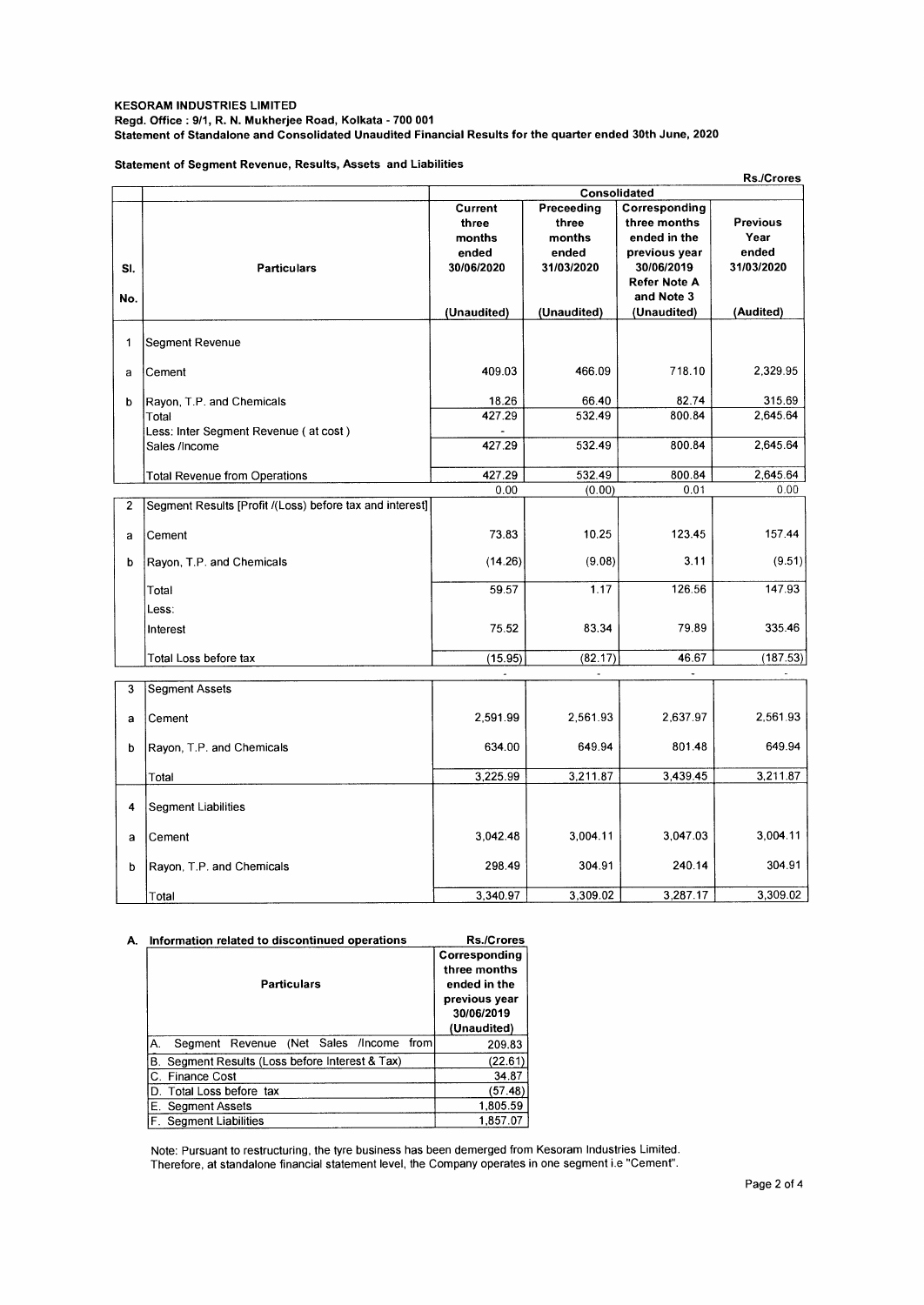## **KESORAM INDUSTRIES LIMITED Regd. Office : 9/1, R. N. Mukherjee Road, Kolkata - 700 001 Statement of Standalone and Consolidated Unaudited Financial Results for the quarter ended 30th June, 2020**

**Statement of Segment Revenue, Results, Assets and Liabilities** 

| Consolidated<br>Corresponding<br>Preceeding<br><b>Current</b><br>three months<br>three<br><b>Previous</b><br>three<br>Year<br>months<br>months<br>ended in the<br>ended<br>ended<br>ended<br>previous year<br>31/03/2020<br>30/06/2020<br>31/03/2020<br>30/06/2019<br>SI.<br><b>Particulars</b><br>Refer Note A<br>and Note 3<br>No.<br>(Audited)<br>(Unaudited)<br>(Unaudited)<br>(Unaudited)<br>$\mathbf{1}$<br>Segment Revenue<br>718.10<br>409.03<br>466.09<br>2,329.95<br>Cement<br>a<br>82.74<br>315.69<br>18.26<br>66.40<br>b<br>Rayon, T.P. and Chemicals<br>427.29<br>532.49<br>800.84<br>2,645.64<br>Total<br>Less: Inter Segment Revenue (at cost)<br>427.29<br>532.49<br>800.84<br>2,645.64<br>Sales /Income<br>427.29<br>532.49<br>800.84<br>2,645.64<br><b>Total Revenue from Operations</b><br>(0.00)<br>0.01<br>0.00<br>0.00<br>$\overline{2}$<br>Segment Results [Profit /(Loss) before tax and interest]<br>123.45<br>157.44<br>73.83<br>10.25<br>Cement<br>a<br>(14.26)<br>(9.08)<br>3.11<br>(9.51)<br>Rayon, T.P. and Chemicals<br>b<br>1.17<br>126.56<br>147.93<br>59.57<br>Total<br>Less:<br>83.34<br>79.89<br>335.46<br>75.52<br>Interest<br>(82.17)<br>46.67<br>(187.53)<br>(15.95)<br>Total Loss before tax<br>3<br><b>Segment Assets</b><br>2.591.99<br>2.561.93<br>2.637.97<br>2,561.93<br>Cement<br>a |
|-----------------------------------------------------------------------------------------------------------------------------------------------------------------------------------------------------------------------------------------------------------------------------------------------------------------------------------------------------------------------------------------------------------------------------------------------------------------------------------------------------------------------------------------------------------------------------------------------------------------------------------------------------------------------------------------------------------------------------------------------------------------------------------------------------------------------------------------------------------------------------------------------------------------------------------------------------------------------------------------------------------------------------------------------------------------------------------------------------------------------------------------------------------------------------------------------------------------------------------------------------------------------------------------------------------------------------------|
|                                                                                                                                                                                                                                                                                                                                                                                                                                                                                                                                                                                                                                                                                                                                                                                                                                                                                                                                                                                                                                                                                                                                                                                                                                                                                                                                   |
|                                                                                                                                                                                                                                                                                                                                                                                                                                                                                                                                                                                                                                                                                                                                                                                                                                                                                                                                                                                                                                                                                                                                                                                                                                                                                                                                   |
|                                                                                                                                                                                                                                                                                                                                                                                                                                                                                                                                                                                                                                                                                                                                                                                                                                                                                                                                                                                                                                                                                                                                                                                                                                                                                                                                   |
|                                                                                                                                                                                                                                                                                                                                                                                                                                                                                                                                                                                                                                                                                                                                                                                                                                                                                                                                                                                                                                                                                                                                                                                                                                                                                                                                   |
|                                                                                                                                                                                                                                                                                                                                                                                                                                                                                                                                                                                                                                                                                                                                                                                                                                                                                                                                                                                                                                                                                                                                                                                                                                                                                                                                   |
|                                                                                                                                                                                                                                                                                                                                                                                                                                                                                                                                                                                                                                                                                                                                                                                                                                                                                                                                                                                                                                                                                                                                                                                                                                                                                                                                   |
|                                                                                                                                                                                                                                                                                                                                                                                                                                                                                                                                                                                                                                                                                                                                                                                                                                                                                                                                                                                                                                                                                                                                                                                                                                                                                                                                   |
|                                                                                                                                                                                                                                                                                                                                                                                                                                                                                                                                                                                                                                                                                                                                                                                                                                                                                                                                                                                                                                                                                                                                                                                                                                                                                                                                   |
|                                                                                                                                                                                                                                                                                                                                                                                                                                                                                                                                                                                                                                                                                                                                                                                                                                                                                                                                                                                                                                                                                                                                                                                                                                                                                                                                   |
|                                                                                                                                                                                                                                                                                                                                                                                                                                                                                                                                                                                                                                                                                                                                                                                                                                                                                                                                                                                                                                                                                                                                                                                                                                                                                                                                   |
|                                                                                                                                                                                                                                                                                                                                                                                                                                                                                                                                                                                                                                                                                                                                                                                                                                                                                                                                                                                                                                                                                                                                                                                                                                                                                                                                   |
|                                                                                                                                                                                                                                                                                                                                                                                                                                                                                                                                                                                                                                                                                                                                                                                                                                                                                                                                                                                                                                                                                                                                                                                                                                                                                                                                   |
|                                                                                                                                                                                                                                                                                                                                                                                                                                                                                                                                                                                                                                                                                                                                                                                                                                                                                                                                                                                                                                                                                                                                                                                                                                                                                                                                   |
|                                                                                                                                                                                                                                                                                                                                                                                                                                                                                                                                                                                                                                                                                                                                                                                                                                                                                                                                                                                                                                                                                                                                                                                                                                                                                                                                   |
|                                                                                                                                                                                                                                                                                                                                                                                                                                                                                                                                                                                                                                                                                                                                                                                                                                                                                                                                                                                                                                                                                                                                                                                                                                                                                                                                   |
|                                                                                                                                                                                                                                                                                                                                                                                                                                                                                                                                                                                                                                                                                                                                                                                                                                                                                                                                                                                                                                                                                                                                                                                                                                                                                                                                   |
|                                                                                                                                                                                                                                                                                                                                                                                                                                                                                                                                                                                                                                                                                                                                                                                                                                                                                                                                                                                                                                                                                                                                                                                                                                                                                                                                   |
|                                                                                                                                                                                                                                                                                                                                                                                                                                                                                                                                                                                                                                                                                                                                                                                                                                                                                                                                                                                                                                                                                                                                                                                                                                                                                                                                   |
|                                                                                                                                                                                                                                                                                                                                                                                                                                                                                                                                                                                                                                                                                                                                                                                                                                                                                                                                                                                                                                                                                                                                                                                                                                                                                                                                   |
|                                                                                                                                                                                                                                                                                                                                                                                                                                                                                                                                                                                                                                                                                                                                                                                                                                                                                                                                                                                                                                                                                                                                                                                                                                                                                                                                   |
|                                                                                                                                                                                                                                                                                                                                                                                                                                                                                                                                                                                                                                                                                                                                                                                                                                                                                                                                                                                                                                                                                                                                                                                                                                                                                                                                   |
|                                                                                                                                                                                                                                                                                                                                                                                                                                                                                                                                                                                                                                                                                                                                                                                                                                                                                                                                                                                                                                                                                                                                                                                                                                                                                                                                   |
|                                                                                                                                                                                                                                                                                                                                                                                                                                                                                                                                                                                                                                                                                                                                                                                                                                                                                                                                                                                                                                                                                                                                                                                                                                                                                                                                   |
|                                                                                                                                                                                                                                                                                                                                                                                                                                                                                                                                                                                                                                                                                                                                                                                                                                                                                                                                                                                                                                                                                                                                                                                                                                                                                                                                   |
|                                                                                                                                                                                                                                                                                                                                                                                                                                                                                                                                                                                                                                                                                                                                                                                                                                                                                                                                                                                                                                                                                                                                                                                                                                                                                                                                   |
|                                                                                                                                                                                                                                                                                                                                                                                                                                                                                                                                                                                                                                                                                                                                                                                                                                                                                                                                                                                                                                                                                                                                                                                                                                                                                                                                   |
|                                                                                                                                                                                                                                                                                                                                                                                                                                                                                                                                                                                                                                                                                                                                                                                                                                                                                                                                                                                                                                                                                                                                                                                                                                                                                                                                   |
|                                                                                                                                                                                                                                                                                                                                                                                                                                                                                                                                                                                                                                                                                                                                                                                                                                                                                                                                                                                                                                                                                                                                                                                                                                                                                                                                   |
|                                                                                                                                                                                                                                                                                                                                                                                                                                                                                                                                                                                                                                                                                                                                                                                                                                                                                                                                                                                                                                                                                                                                                                                                                                                                                                                                   |
|                                                                                                                                                                                                                                                                                                                                                                                                                                                                                                                                                                                                                                                                                                                                                                                                                                                                                                                                                                                                                                                                                                                                                                                                                                                                                                                                   |
|                                                                                                                                                                                                                                                                                                                                                                                                                                                                                                                                                                                                                                                                                                                                                                                                                                                                                                                                                                                                                                                                                                                                                                                                                                                                                                                                   |
|                                                                                                                                                                                                                                                                                                                                                                                                                                                                                                                                                                                                                                                                                                                                                                                                                                                                                                                                                                                                                                                                                                                                                                                                                                                                                                                                   |
|                                                                                                                                                                                                                                                                                                                                                                                                                                                                                                                                                                                                                                                                                                                                                                                                                                                                                                                                                                                                                                                                                                                                                                                                                                                                                                                                   |
|                                                                                                                                                                                                                                                                                                                                                                                                                                                                                                                                                                                                                                                                                                                                                                                                                                                                                                                                                                                                                                                                                                                                                                                                                                                                                                                                   |
|                                                                                                                                                                                                                                                                                                                                                                                                                                                                                                                                                                                                                                                                                                                                                                                                                                                                                                                                                                                                                                                                                                                                                                                                                                                                                                                                   |
| 801.48<br>649.94<br>634.00<br>649.94<br>Rayon, T.P. and Chemicals<br>b                                                                                                                                                                                                                                                                                                                                                                                                                                                                                                                                                                                                                                                                                                                                                                                                                                                                                                                                                                                                                                                                                                                                                                                                                                                            |
|                                                                                                                                                                                                                                                                                                                                                                                                                                                                                                                                                                                                                                                                                                                                                                                                                                                                                                                                                                                                                                                                                                                                                                                                                                                                                                                                   |
| 3,225.99<br>3,211.87<br>3,439.45<br>3,211.87<br>Total                                                                                                                                                                                                                                                                                                                                                                                                                                                                                                                                                                                                                                                                                                                                                                                                                                                                                                                                                                                                                                                                                                                                                                                                                                                                             |
|                                                                                                                                                                                                                                                                                                                                                                                                                                                                                                                                                                                                                                                                                                                                                                                                                                                                                                                                                                                                                                                                                                                                                                                                                                                                                                                                   |
| 4<br><b>Segment Liabilities</b>                                                                                                                                                                                                                                                                                                                                                                                                                                                                                                                                                                                                                                                                                                                                                                                                                                                                                                                                                                                                                                                                                                                                                                                                                                                                                                   |
| 3,004.11                                                                                                                                                                                                                                                                                                                                                                                                                                                                                                                                                                                                                                                                                                                                                                                                                                                                                                                                                                                                                                                                                                                                                                                                                                                                                                                          |
| 3,047.03<br>3,042.48<br>3,004.11<br>Cement<br>a                                                                                                                                                                                                                                                                                                                                                                                                                                                                                                                                                                                                                                                                                                                                                                                                                                                                                                                                                                                                                                                                                                                                                                                                                                                                                   |
| 304.91<br>240.14<br>304.91<br>298.49<br>Rayon, T.P. and Chemicals<br>b                                                                                                                                                                                                                                                                                                                                                                                                                                                                                                                                                                                                                                                                                                                                                                                                                                                                                                                                                                                                                                                                                                                                                                                                                                                            |
|                                                                                                                                                                                                                                                                                                                                                                                                                                                                                                                                                                                                                                                                                                                                                                                                                                                                                                                                                                                                                                                                                                                                                                                                                                                                                                                                   |
| 3,287.17<br>3,309.02<br>3,340.97<br>3.309.02<br>Total                                                                                                                                                                                                                                                                                                                                                                                                                                                                                                                                                                                                                                                                                                                                                                                                                                                                                                                                                                                                                                                                                                                                                                                                                                                                             |

| A. | Information related to discontinued operations     | <b>Rs./Crores</b>                                                                           |
|----|----------------------------------------------------|---------------------------------------------------------------------------------------------|
|    | <b>Particulars</b>                                 | Corresponding<br>three months<br>ended in the<br>previous year<br>30/06/2019<br>(Unaudited) |
|    | Segment Revenue (Net Sales /Income<br>from<br>А.   | 209.83                                                                                      |
|    | Segment Results (Loss before Interest & Tax)<br>В. | (22.61                                                                                      |
|    | C. Finance Cost                                    | 34.87                                                                                       |
|    | Total Loss before tax                              | (57.48)                                                                                     |
|    | E. Segment Assets                                  | 1.805.59                                                                                    |
|    | <b>Segment Liabilities</b>                         | 1.857.07                                                                                    |

Note: Pursuant to restructuring, the tyre business has been demerged from Kesoram Industries Limited. Therefore, at standalone financial statement level, the Company operates in one segment i.e "Cement".